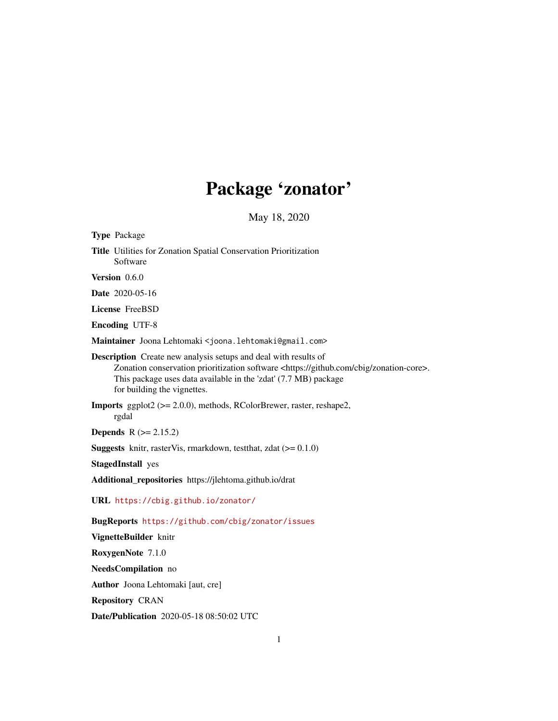# Package 'zonator'

May 18, 2020

<span id="page-0-0"></span>

| <b>Type Package</b>                                                                                                                                                                                                                                                                   |
|---------------------------------------------------------------------------------------------------------------------------------------------------------------------------------------------------------------------------------------------------------------------------------------|
| Title Utilities for Zonation Spatial Conservation Prioritization<br>Software                                                                                                                                                                                                          |
| Version 0.6.0                                                                                                                                                                                                                                                                         |
| <b>Date</b> 2020-05-16                                                                                                                                                                                                                                                                |
| <b>License FreeBSD</b>                                                                                                                                                                                                                                                                |
| <b>Encoding UTF-8</b>                                                                                                                                                                                                                                                                 |
| Maintainer Joona Lehtomaki <joona.lehtomaki@gmail.com></joona.lehtomaki@gmail.com>                                                                                                                                                                                                    |
| <b>Description</b> Create new analysis setups and deal with results of<br>Zonation conservation prioritization software <https: cbig="" github.com="" zonation-core="">.<br/>This package uses data available in the 'zdat' (7.7 MB) package<br/>for building the vignettes.</https:> |
| <b>Imports</b> ggplot2 ( $> = 2.0.0$ ), methods, RColorBrewer, raster, reshape2,<br>rgdal                                                                                                                                                                                             |
| <b>Depends</b> $R (= 2.15.2)$                                                                                                                                                                                                                                                         |
| <b>Suggests</b> knitr, rasterVis, rmarkdown, test that, zdat $(>= 0.1.0)$                                                                                                                                                                                                             |
| <b>StagedInstall</b> yes                                                                                                                                                                                                                                                              |
| Additional_repositories https://jlehtoma.github.io/drat                                                                                                                                                                                                                               |
| URL https://cbig.github.io/zonator/                                                                                                                                                                                                                                                   |
| BugReports https://github.com/cbig/zonator/issues                                                                                                                                                                                                                                     |
| VignetteBuilder knitr                                                                                                                                                                                                                                                                 |
| RoxygenNote 7.1.0                                                                                                                                                                                                                                                                     |
| NeedsCompilation no                                                                                                                                                                                                                                                                   |
| <b>Author</b> Joona Lehtomaki [aut, cre]                                                                                                                                                                                                                                              |

Repository CRAN

Date/Publication 2020-05-18 08:50:02 UTC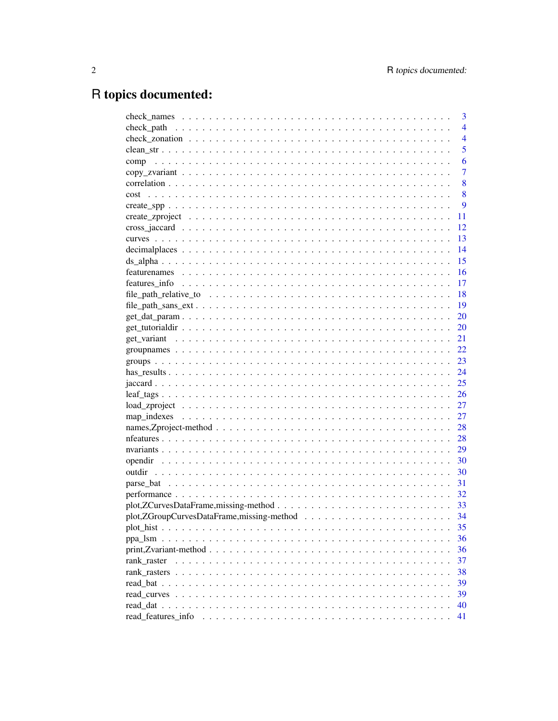# R topics documented:

|                    | 3              |
|--------------------|----------------|
|                    | $\overline{4}$ |
|                    | $\overline{4}$ |
|                    | 5              |
| comp               | 6              |
|                    | 7              |
|                    | 8              |
| cost               | 8              |
|                    | 9              |
|                    | 11             |
|                    | 12             |
|                    | 13             |
|                    | 14             |
|                    | 15             |
|                    | 16             |
|                    | 17             |
|                    | 18             |
|                    | 19             |
|                    | 20             |
|                    | 20             |
|                    | 21             |
|                    | 22             |
|                    | 23             |
|                    | 24             |
|                    | 25             |
|                    | 26             |
|                    | 27             |
|                    | 27             |
|                    | 28             |
|                    | 28             |
|                    | 29             |
|                    | 30             |
|                    | 30             |
|                    | 31             |
|                    | 32             |
|                    |                |
|                    | 34             |
|                    | 35             |
|                    | 36             |
|                    | 36             |
| rank raster        | 37             |
|                    | 38             |
|                    | 39             |
|                    | 39             |
|                    | 40             |
| read features info | 41             |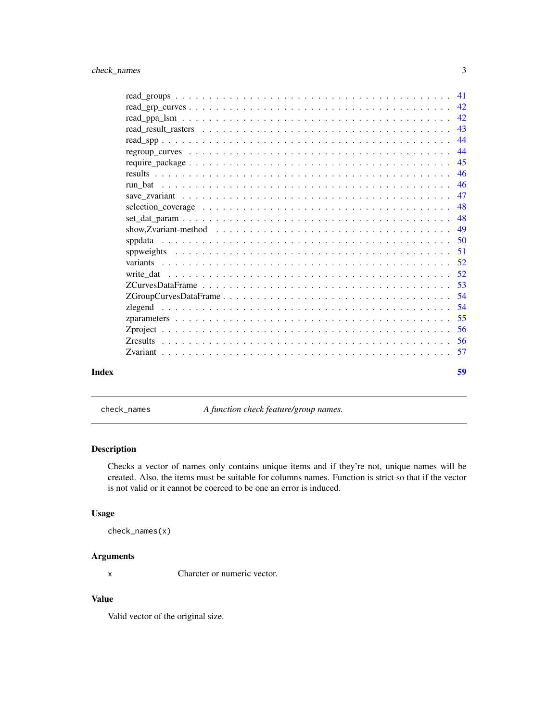<span id="page-2-0"></span>

| Index |                                                                                                                    |  |  | 59 |
|-------|--------------------------------------------------------------------------------------------------------------------|--|--|----|
|       |                                                                                                                    |  |  |    |
|       |                                                                                                                    |  |  |    |
|       |                                                                                                                    |  |  |    |
|       |                                                                                                                    |  |  |    |
|       |                                                                                                                    |  |  |    |
|       |                                                                                                                    |  |  |    |
|       |                                                                                                                    |  |  |    |
|       |                                                                                                                    |  |  |    |
|       |                                                                                                                    |  |  |    |
|       |                                                                                                                    |  |  |    |
|       |                                                                                                                    |  |  |    |
|       | show, Zvariant-method $\ldots \ldots \ldots \ldots \ldots \ldots \ldots \ldots \ldots \ldots \ldots \ldots \ldots$ |  |  |    |
|       |                                                                                                                    |  |  |    |
|       |                                                                                                                    |  |  |    |
|       |                                                                                                                    |  |  |    |
|       |                                                                                                                    |  |  |    |
|       |                                                                                                                    |  |  |    |
|       |                                                                                                                    |  |  |    |
|       |                                                                                                                    |  |  |    |
|       |                                                                                                                    |  |  |    |
|       |                                                                                                                    |  |  |    |
|       |                                                                                                                    |  |  |    |
|       |                                                                                                                    |  |  |    |
|       |                                                                                                                    |  |  |    |

check\_names *A function check feature/group names.*

# Description

Checks a vector of names only contains unique items and if they're not, unique names will be created. Also, the items must be suitable for columns names. Function is strict so that if the vector is not valid or it cannot be coerced to be one an error is induced.

#### Usage

check\_names(x)

# Arguments

x Charcter or numeric vector.

# Value

Valid vector of the original size.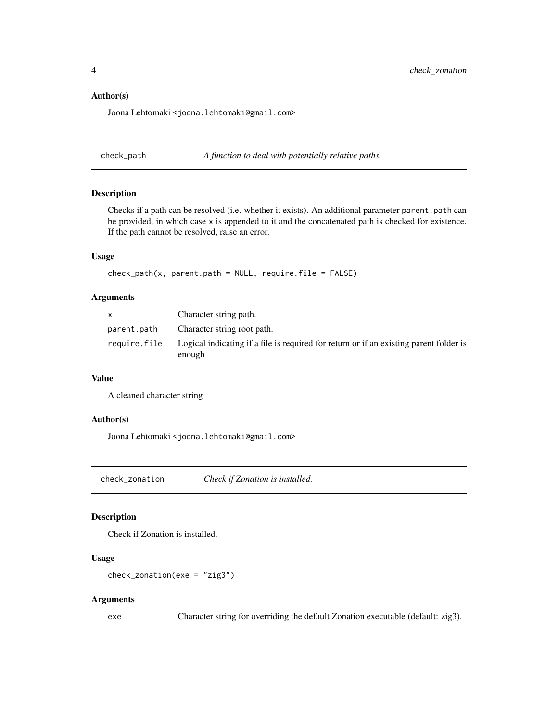#### <span id="page-3-0"></span>Author(s)

Joona Lehtomaki <joona.lehtomaki@gmail.com>

check\_path *A function to deal with potentially relative paths.*

#### Description

Checks if a path can be resolved (i.e. whether it exists). An additional parameter parent.path can be provided, in which case x is appended to it and the concatenated path is checked for existence. If the path cannot be resolved, raise an error.

#### Usage

```
check\_path(x, parent.path = NULL, require.file = FALSE)
```
#### Arguments

| X            | Character string path.                                                                           |
|--------------|--------------------------------------------------------------------------------------------------|
| parent.path  | Character string root path.                                                                      |
| require.file | Logical indicating if a file is required for return or if an existing parent folder is<br>enough |

#### Value

A cleaned character string

#### Author(s)

Joona Lehtomaki <joona.lehtomaki@gmail.com>

check\_zonation *Check if Zonation is installed.*

# Description

Check if Zonation is installed.

#### Usage

```
check_zonation(exe = "zig3")
```
#### Arguments

exe Character string for overriding the default Zonation executable (default: zig3).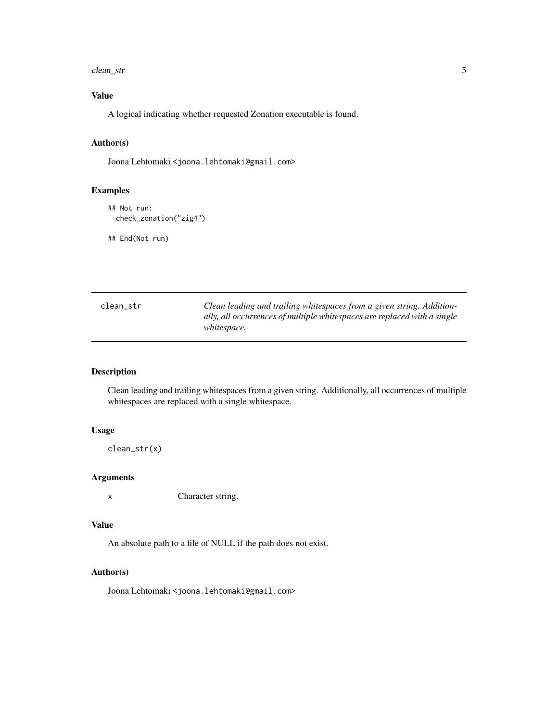#### <span id="page-4-0"></span>clean\_str 5

# Value

A logical indicating whether requested Zonation executable is found.

# Author(s)

Joona Lehtomaki <joona.lehtomaki@gmail.com>

# Examples

```
## Not run:
 check_zonation("zig4")
```
## End(Not run)

| clean str | Clean leading and trailing whitespaces from a given string. Addition-    |
|-----------|--------------------------------------------------------------------------|
|           | ally, all occurrences of multiple whitespaces are replaced with a single |
|           | <i>whitespace.</i>                                                       |

# Description

Clean leading and trailing whitespaces from a given string. Additionally, all occurrences of multiple whitespaces are replaced with a single whitespace.

# Usage

clean\_str(x)

#### Arguments

x Character string.

#### Value

An absolute path to a file of NULL if the path does not exist.

# Author(s)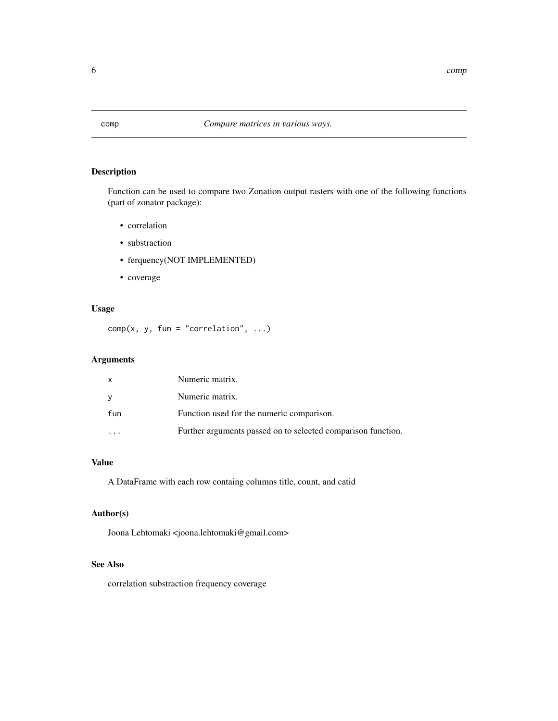<span id="page-5-0"></span>

Function can be used to compare two Zonation output rasters with one of the following functions (part of zonator package):

- correlation
- substraction
- ferquency(NOT IMPLEMENTED)
- coverage

#### Usage

 $comp(x, y, fun = "correlation", ...)$ 

# Arguments

| X   | Numeric matrix.                                              |
|-----|--------------------------------------------------------------|
| y   | Numeric matrix.                                              |
| fun | Function used for the numeric comparison.                    |
|     | Further arguments passed on to selected comparison function. |

# Value

A DataFrame with each row containg columns title, count, and catid

# Author(s)

Joona Lehtomaki <joona.lehtomaki@gmail.com>

# See Also

correlation substraction frequency coverage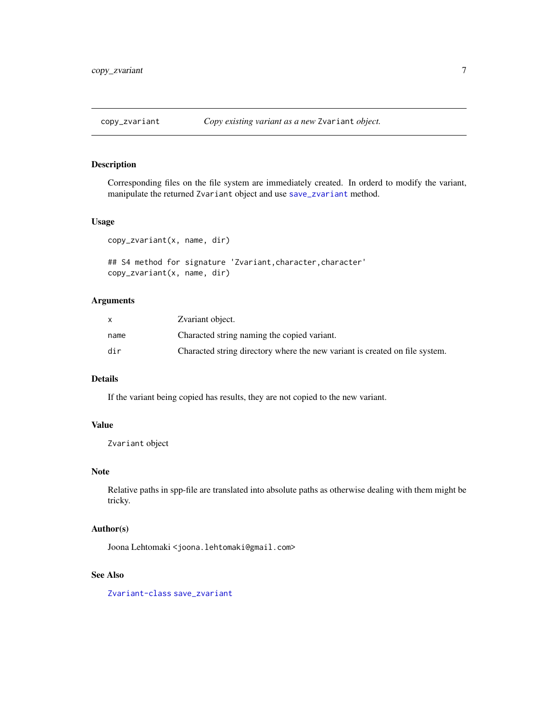<span id="page-6-0"></span>

Corresponding files on the file system are immediately created. In orderd to modify the variant, manipulate the returned Zvariant object and use [save\\_zvariant](#page-46-1) method.

### Usage

copy\_zvariant(x, name, dir)

```
## S4 method for signature 'Zvariant, character, character'
copy_zvariant(x, name, dir)
```
# Arguments

|      | Zvariant object.                                                            |
|------|-----------------------------------------------------------------------------|
| name | Characted string naming the copied variant.                                 |
| dir  | Characted string directory where the new variant is created on file system. |

# Details

If the variant being copied has results, they are not copied to the new variant.

#### Value

Zvariant object

# Note

Relative paths in spp-file are translated into absolute paths as otherwise dealing with them might be tricky.

#### Author(s)

Joona Lehtomaki <joona.lehtomaki@gmail.com>

# See Also

[Zvariant-class](#page-56-1) [save\\_zvariant](#page-46-1)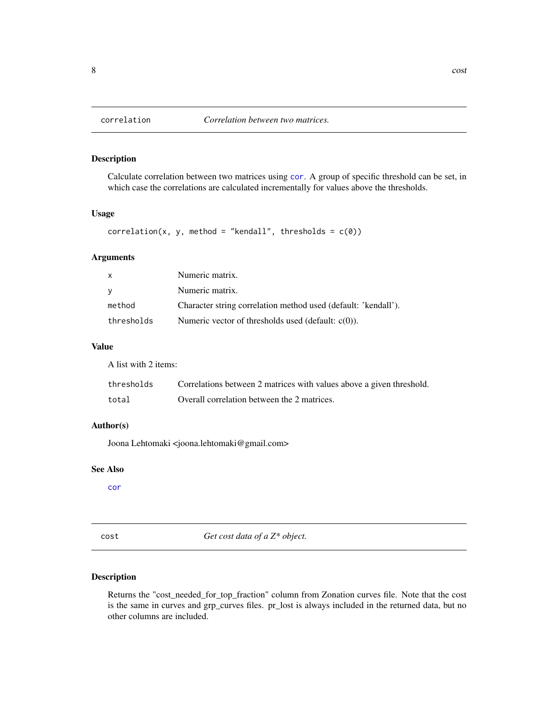<span id="page-7-0"></span>

Calculate correlation between two matrices using [cor](#page-0-0). A group of specific threshold can be set, in which case the correlations are calculated incrementally for values above the thresholds.

#### Usage

```
correlation(x, y, method = "kendall", thresholds = c(0))
```
# Arguments

| X          | Numeric matrix.                                                |
|------------|----------------------------------------------------------------|
| V          | Numeric matrix.                                                |
| method     | Character string correlation method used (default: 'kendall'). |
| thresholds | Numeric vector of thresholds used (default: $c(0)$ ).          |

# Value

A list with 2 items:

| thresholds | Correlations between 2 matrices with values above a given threshold. |
|------------|----------------------------------------------------------------------|
| total      | Overall correlation between the 2 matrices.                          |

# Author(s)

Joona Lehtomaki <joona.lehtomaki@gmail.com>

#### See Also

[cor](#page-0-0)

cost *Get cost data of a Z\* object.*

# Description

Returns the "cost\_needed\_for\_top\_fraction" column from Zonation curves file. Note that the cost is the same in curves and grp\_curves files. pr\_lost is always included in the returned data, but no other columns are included.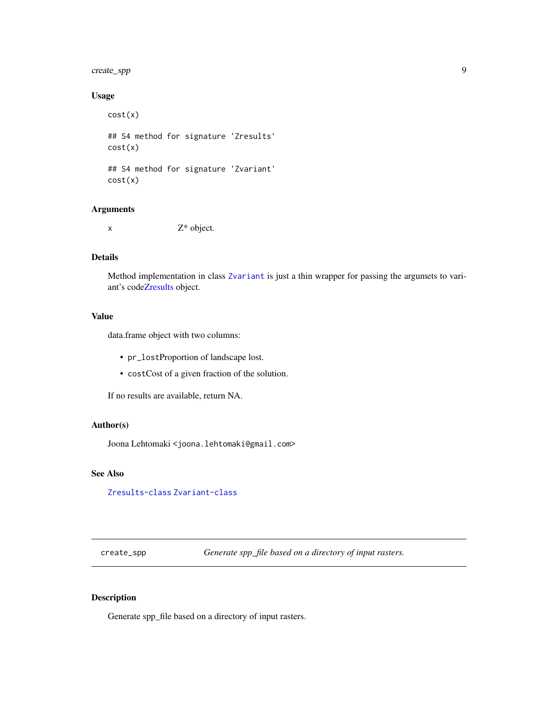# <span id="page-8-0"></span>create\_spp 9

# Usage

cost(x) ## S4 method for signature 'Zresults' cost(x) ## S4 method for signature 'Zvariant' cost(x)

# Arguments

 $x \t\t Z^*$  object.

#### Details

Method implementation in class [Zvariant](#page-56-2) is just a thin wrapper for passing the argumets to variant's cod[eZresults](#page-55-1) object.

#### Value

data.frame object with two columns:

- pr\_lostProportion of landscape lost.
- costCost of a given fraction of the solution.

If no results are available, return NA.

# Author(s)

Joona Lehtomaki <joona.lehtomaki@gmail.com>

#### See Also

[Zresults-class](#page-55-2) [Zvariant-class](#page-56-1)

<span id="page-8-1"></span>create\_spp *Generate spp\_file based on a directory of input rasters.*

#### Description

Generate spp\_file based on a directory of input rasters.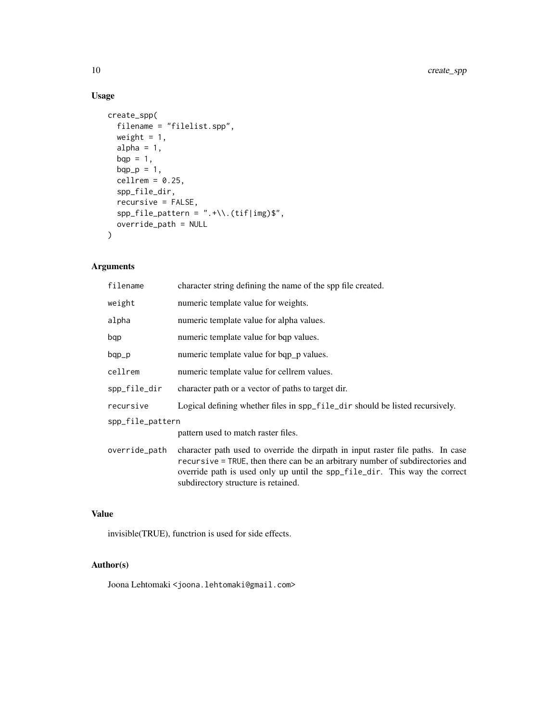# Usage

```
create_spp(
  filename = "filelist.spp",
  weight = 1,
  alpha = 1,
  bqp = 1,
  bqp_p = 1,
  cellrem = 0.25,spp_file_dir,
  recursive = FALSE,
  spp_file_pattern = ".+\\.(tif|img)$",
  override_path = NULL
\mathcal{L}
```
# Arguments

| filename         | character string defining the name of the spp file created.                                                                                                                                                                                                                           |  |
|------------------|---------------------------------------------------------------------------------------------------------------------------------------------------------------------------------------------------------------------------------------------------------------------------------------|--|
| weight           | numeric template value for weights.                                                                                                                                                                                                                                                   |  |
| alpha            | numeric template value for alpha values.                                                                                                                                                                                                                                              |  |
| bqp              | numeric template value for bqp values.                                                                                                                                                                                                                                                |  |
| bqp_p            | numeric template value for bqp_p values.                                                                                                                                                                                                                                              |  |
| cellrem          | numeric template value for cellrem values.                                                                                                                                                                                                                                            |  |
| spp_file_dir     | character path or a vector of paths to target dir.                                                                                                                                                                                                                                    |  |
| recursive        | Logical defining whether files in spp_file_dir should be listed recursively.                                                                                                                                                                                                          |  |
| spp_file_pattern |                                                                                                                                                                                                                                                                                       |  |
|                  | pattern used to match raster files.                                                                                                                                                                                                                                                   |  |
| override_path    | character path used to override the dirpath in input raster file paths. In case<br>recursive = TRUE, then there can be an arbitrary number of subdirectories and<br>override path is used only up until the spp_file_dir. This way the correct<br>subdirectory structure is retained. |  |

# Value

invisible(TRUE), functrion is used for side effects.

# Author(s)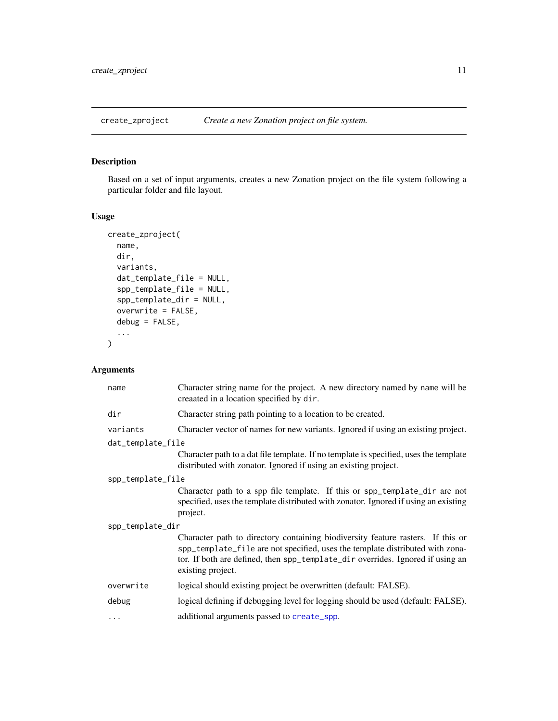<span id="page-10-1"></span><span id="page-10-0"></span>

Based on a set of input arguments, creates a new Zonation project on the file system following a particular folder and file layout.

# Usage

```
create_zproject(
 name,
 dir,
 variants,
 dat_template_file = NULL,
  spp_template_file = NULL,
  spp_template_dir = NULL,
 overwrite = FALSE,
  debug = FALSE,...
)
```
# Arguments

| name              | Character string name for the project. A new directory named by name will be<br>creaated in a location specified by dir.                                                                                                                                                |  |  |
|-------------------|-------------------------------------------------------------------------------------------------------------------------------------------------------------------------------------------------------------------------------------------------------------------------|--|--|
| dir               | Character string path pointing to a location to be created.                                                                                                                                                                                                             |  |  |
| variants          | Character vector of names for new variants. Ignored if using an existing project.                                                                                                                                                                                       |  |  |
| dat_template_file |                                                                                                                                                                                                                                                                         |  |  |
|                   | Character path to a dat file template. If no template is specified, uses the template<br>distributed with zonator. Ignored if using an existing project.                                                                                                                |  |  |
| spp_template_file |                                                                                                                                                                                                                                                                         |  |  |
|                   | Character path to a spp file template. If this or spp_template_dir are not<br>specified, uses the template distributed with zonator. Ignored if using an existing<br>project.                                                                                           |  |  |
| spp_template_dir  |                                                                                                                                                                                                                                                                         |  |  |
|                   | Character path to directory containing biodiversity feature rasters. If this or<br>spp_template_file are not specified, uses the template distributed with zona-<br>tor. If both are defined, then spp_template_dir overrides. Ignored if using an<br>existing project. |  |  |
| overwrite         | logical should existing project be overwritten (default: FALSE).                                                                                                                                                                                                        |  |  |
| debug             | logical defining if debugging level for logging should be used (default: FALSE).                                                                                                                                                                                        |  |  |
| $\cdots$          | additional arguments passed to create_spp.                                                                                                                                                                                                                              |  |  |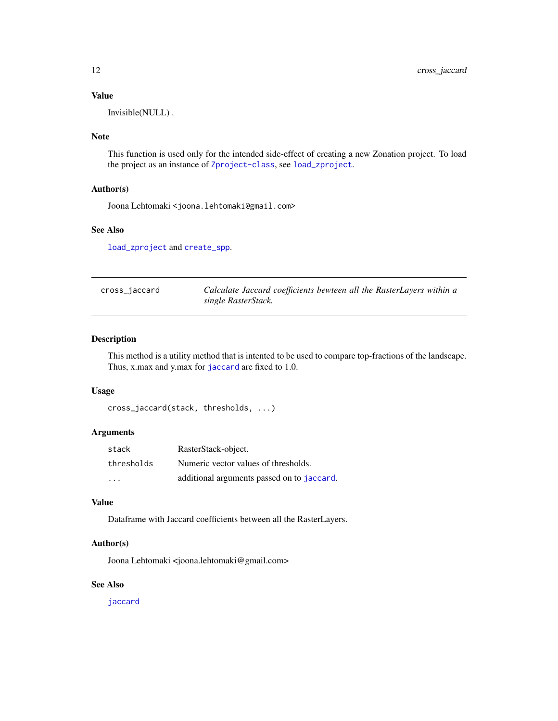# <span id="page-11-0"></span>Value

Invisible(NULL) .

#### Note

This function is used only for the intended side-effect of creating a new Zonation project. To load the project as an instance of [Zproject-class](#page-55-3), see [load\\_zproject](#page-26-1).

#### Author(s)

Joona Lehtomaki <joona.lehtomaki@gmail.com>

# See Also

[load\\_zproject](#page-26-1) and [create\\_spp](#page-8-1).

| cross_jaccard | Calculate Jaccard coefficients bewteen all the RasterLayers within a |
|---------------|----------------------------------------------------------------------|
|               | single RasterStack.                                                  |

#### Description

This method is a utility method that is intented to be used to compare top-fractions of the landscape. Thus, x.max and y.max for [jaccard](#page-24-1) are fixed to 1.0.

# Usage

```
cross_jaccard(stack, thresholds, ...)
```
#### Arguments

| stack      | RasterStack-object.                        |
|------------|--------------------------------------------|
| thresholds | Numeric vector values of thresholds.       |
| $\cdot$    | additional arguments passed on to jaccard. |

#### Value

Dataframe with Jaccard coefficients between all the RasterLayers.

#### Author(s)

Joona Lehtomaki <joona.lehtomaki@gmail.com>

#### See Also

[jaccard](#page-24-1)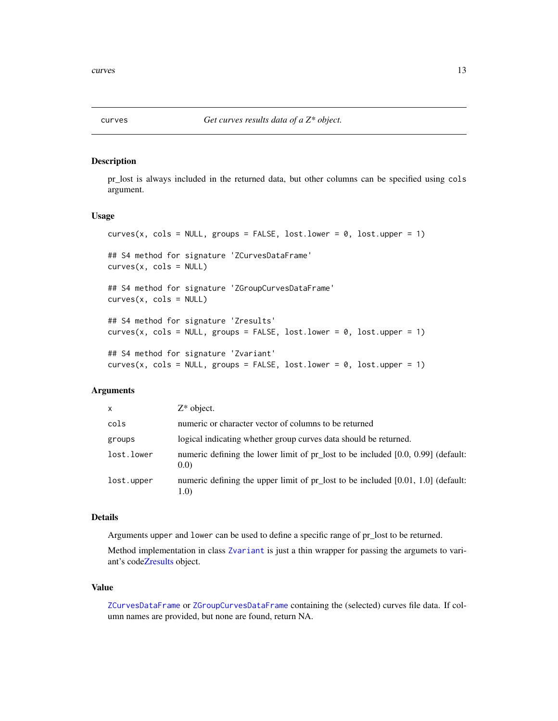<span id="page-12-0"></span>

pr\_lost is always included in the returned data, but other columns can be specified using cols argument.

#### Usage

```
curves(x, cols = NULL, groups = FALSE, lost.lower = 0, lost.upper = 1)
## S4 method for signature 'ZCurvesDataFrame'
curves(x, \text{cols} = NULL)## S4 method for signature 'ZGroupCurvesDataFrame'
curves(x, \text{cols} = NULL)## S4 method for signature 'Zresults'
curves(x, \text{cols} = NULL, \text{groups} = FALSE, \text{lost.lower} = 0, \text{lost.upper} = 1)## S4 method for signature 'Zvariant'
curves(x, \text{cols} = NULL, \text{groups} = FALSE, \text{lost.lower} = 0, \text{lost.upper} = 1)
```
# Arguments

| X          | $Z^*$ object.                                                                             |
|------------|-------------------------------------------------------------------------------------------|
| cols       | numeric or character vector of columns to be returned                                     |
| groups     | logical indicating whether group curves data should be returned.                          |
| lost.lower | numeric defining the lower limit of pr_lost to be included [0.0, 0.99] (default:<br>(0.0) |
| lost.upper | numeric defining the upper limit of pr_lost to be included [0.01, 1.0] (default:<br>1.0)  |

#### Details

Arguments upper and lower can be used to define a specific range of pr\_lost to be returned.

Method implementation in class [Zvariant](#page-56-2) is just a thin wrapper for passing the argumets to variant's cod[eZresults](#page-55-1) object.

#### Value

[ZCurvesDataFrame](#page-52-1) or [ZGroupCurvesDataFrame](#page-53-1) containing the (selected) curves file data. If column names are provided, but none are found, return NA.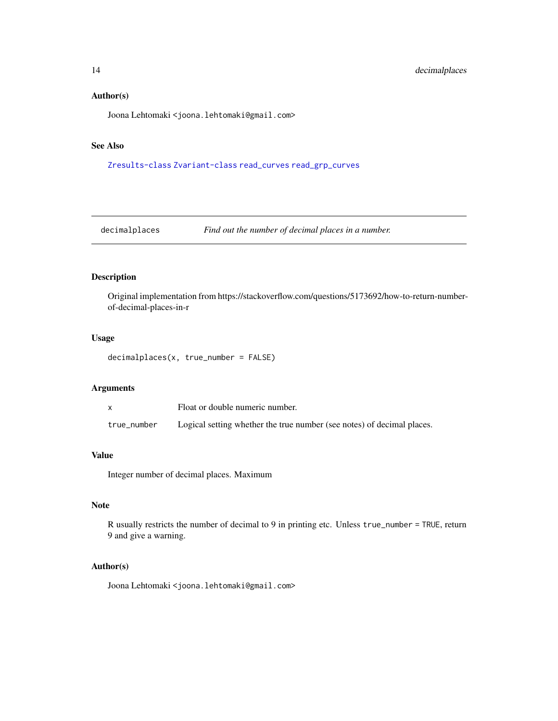#### <span id="page-13-0"></span>Author(s)

Joona Lehtomaki <joona.lehtomaki@gmail.com>

# See Also

[Zresults-class](#page-55-2) [Zvariant-class](#page-56-1) [read\\_curves](#page-38-1) [read\\_grp\\_curves](#page-41-1)

decimalplaces *Find out the number of decimal places in a number.*

#### Description

Original implementation from https://stackoverflow.com/questions/5173692/how-to-return-numberof-decimal-places-in-r

#### Usage

```
decimalplaces(x, true_number = FALSE)
```
# Arguments

|             | Float or double numeric number.                                        |
|-------------|------------------------------------------------------------------------|
| true_number | Logical setting whether the true number (see notes) of decimal places. |

#### Value

Integer number of decimal places. Maximum

# Note

R usually restricts the number of decimal to 9 in printing etc. Unless true\_number = TRUE, return 9 and give a warning.

# Author(s)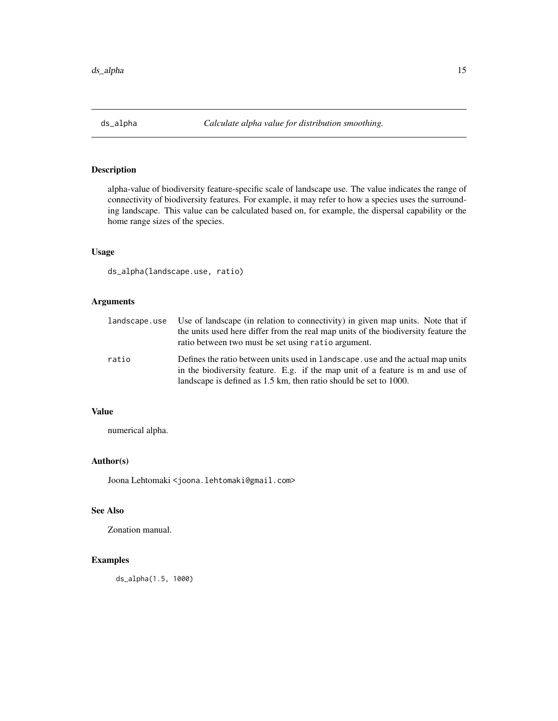<span id="page-14-0"></span>alpha-value of biodiversity feature-specific scale of landscape use. The value indicates the range of connectivity of biodiversity features. For example, it may refer to how a species uses the surrounding landscape. This value can be calculated based on, for example, the dispersal capability or the home range sizes of the species.

# Usage

ds\_alpha(landscape.use, ratio)

# Arguments

| landscape.use | Use of landscape (in relation to connectivity) in given map units. Note that if<br>the units used here differ from the real map units of the biodiversity feature the<br>ratio between two must be set using ratio argument.           |
|---------------|----------------------------------------------------------------------------------------------------------------------------------------------------------------------------------------------------------------------------------------|
| ratio         | Defines the ratio between units used in landscape, use and the actual map units<br>in the biodiversity feature. E.g. if the map unit of a feature is m and use of<br>landscape is defined as 1.5 km, then ratio should be set to 1000. |

#### Value

numerical alpha.

# Author(s)

Joona Lehtomaki <joona.lehtomaki@gmail.com>

# See Also

Zonation manual.

# Examples

ds\_alpha(1.5, 1000)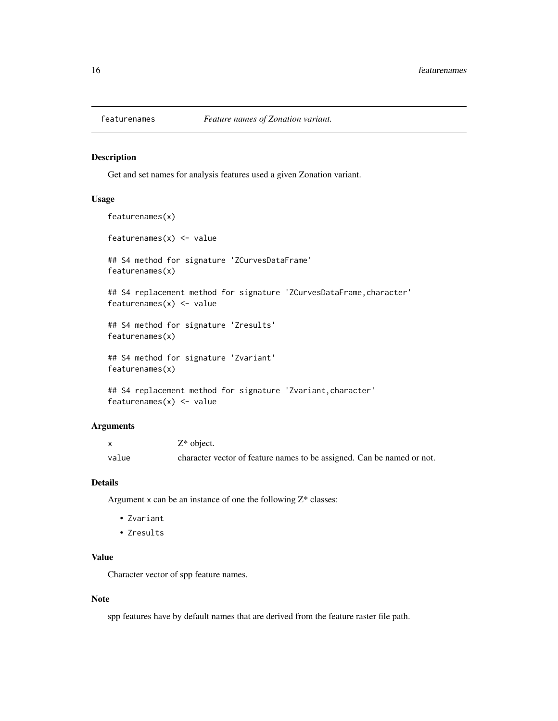<span id="page-15-0"></span>

Get and set names for analysis features used a given Zonation variant.

#### Usage

```
featurenames(x)
featurenames(x) <- value
## S4 method for signature 'ZCurvesDataFrame'
featurenames(x)
## S4 replacement method for signature 'ZCurvesDataFrame, character'
featurenames(x) <- value
## S4 method for signature 'Zresults'
featurenames(x)
## S4 method for signature 'Zvariant'
featurenames(x)
## S4 replacement method for signature 'Zvariant, character'
```
#### Arguments

|       | $Z^*$ object.                                                          |
|-------|------------------------------------------------------------------------|
| value | character vector of feature names to be assigned. Can be named or not. |

#### Details

Argument  $x$  can be an instance of one the following  $Z^*$  classes:

• Zvariant

featurenames $(x)$  <- value

• Zresults

#### Value

Character vector of spp feature names.

#### Note

spp features have by default names that are derived from the feature raster file path.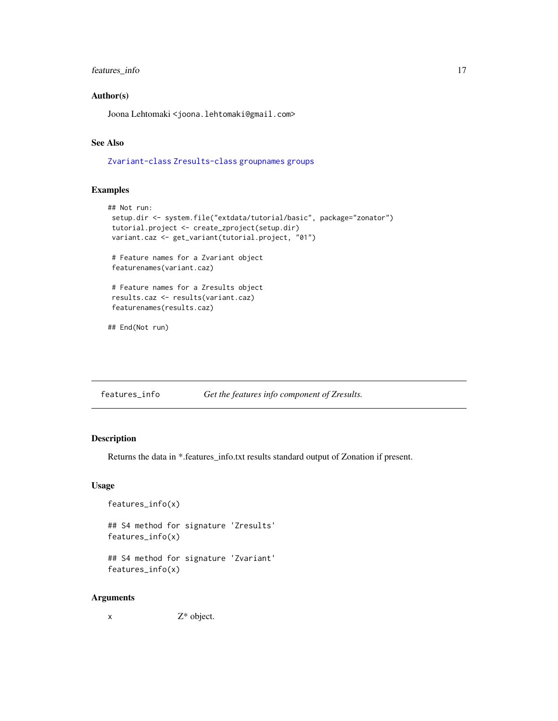# <span id="page-16-0"></span>features\_info 17

#### Author(s)

Joona Lehtomaki <joona.lehtomaki@gmail.com>

# See Also

[Zvariant-class](#page-56-1) [Zresults-class](#page-55-2) [groupnames](#page-21-1) [groups](#page-22-1)

# Examples

```
## Not run:
setup.dir <- system.file("extdata/tutorial/basic", package="zonator")
tutorial.project <- create_zproject(setup.dir)
variant.caz <- get_variant(tutorial.project, "01")
# Feature names for a Zvariant object
featurenames(variant.caz)
# Feature names for a Zresults object
results.caz <- results(variant.caz)
featurenames(results.caz)
## End(Not run)
```
features\_info *Get the features info component of Zresults.*

# Description

Returns the data in \*.features\_info.txt results standard output of Zonation if present.

#### Usage

```
features_info(x)
```
## S4 method for signature 'Zresults' features\_info(x)

## S4 method for signature 'Zvariant' features\_info(x)

#### Arguments

x Z\* object.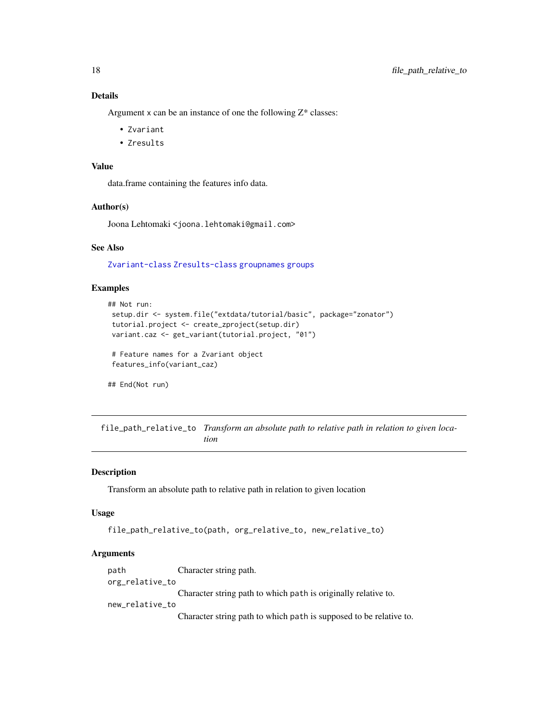# <span id="page-17-0"></span>Details

Argument  $x$  can be an instance of one the following  $Z^*$  classes:

- Zvariant
- Zresults

# Value

data.frame containing the features info data.

#### Author(s)

Joona Lehtomaki <joona.lehtomaki@gmail.com>

#### See Also

[Zvariant-class](#page-56-1) [Zresults-class](#page-55-2) [groupnames](#page-21-1) [groups](#page-22-1)

#### Examples

```
## Not run:
setup.dir <- system.file("extdata/tutorial/basic", package="zonator")
tutorial.project <- create_zproject(setup.dir)
variant.caz <- get_variant(tutorial.project, "01")
```

```
# Feature names for a Zvariant object
features_info(variant_caz)
```
## End(Not run)

file\_path\_relative\_to *Transform an absolute path to relative path in relation to given location*

# Description

Transform an absolute path to relative path in relation to given location

#### Usage

```
file_path_relative_to(path, org_relative_to, new_relative_to)
```
#### Arguments

path Character string path. org\_relative\_to Character string path to which path is originally relative to.

new\_relative\_to

Character string path to which path is supposed to be relative to.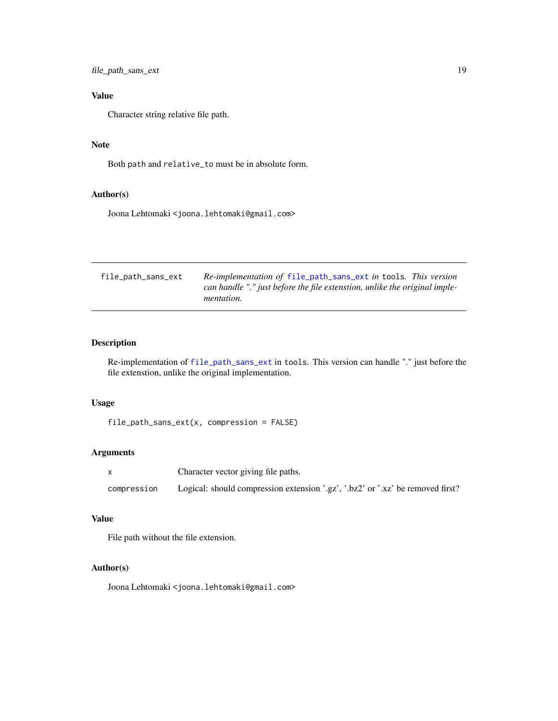<span id="page-18-0"></span>file\_path\_sans\_ext 19

# Value

Character string relative file path.

# Note

Both path and relative\_to must be in absolute form.

#### Author(s)

Joona Lehtomaki <joona.lehtomaki@gmail.com>

<span id="page-18-1"></span>

| file_path_sans_ext | Re-implementation of file_path_sans_ext in tools. This version<br>can handle "." just before the file extenstion, unlike the original imple- |
|--------------------|----------------------------------------------------------------------------------------------------------------------------------------------|
|                    | <i>mentation.</i>                                                                                                                            |
|                    |                                                                                                                                              |

# Description

Re-implementation of [file\\_path\\_sans\\_ext](#page-18-1) in tools. This version can handle "." just before the file extenstion, unlike the original implementation.

#### Usage

```
file_path_sans_ext(x, compression = FALSE)
```
#### Arguments

|             | Character vector giving file paths.                                            |
|-------------|--------------------------------------------------------------------------------|
| compression | Logical: should compression extension '.gz', '.bz2' or '.xz' be removed first? |

# Value

File path without the file extension.

# Author(s)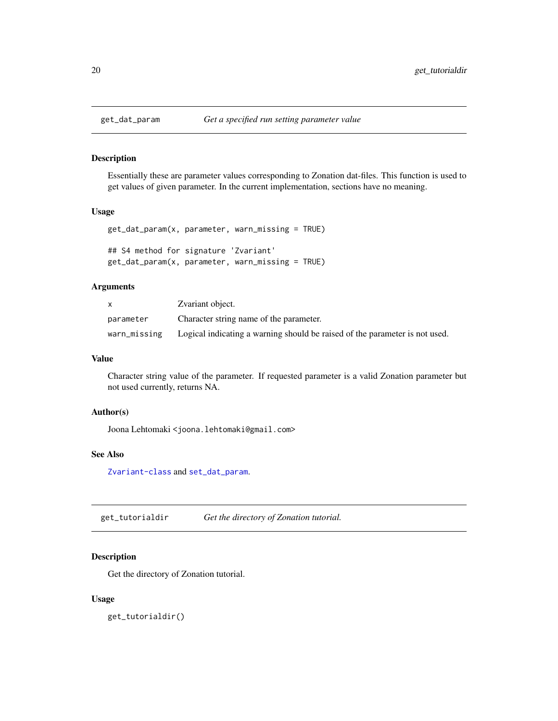<span id="page-19-1"></span><span id="page-19-0"></span>

Essentially these are parameter values corresponding to Zonation dat-files. This function is used to get values of given parameter. In the current implementation, sections have no meaning.

#### Usage

```
get_dat_param(x, parameter, warn_missing = TRUE)
## S4 method for signature 'Zvariant'
get_dat_param(x, parameter, warn_missing = TRUE)
```
#### Arguments

|              | Zvariant object.                                                            |
|--------------|-----------------------------------------------------------------------------|
| parameter    | Character string name of the parameter.                                     |
| warn_missing | Logical indicating a warning should be raised of the parameter is not used. |

#### Value

Character string value of the parameter. If requested parameter is a valid Zonation parameter but not used currently, returns NA.

#### Author(s)

Joona Lehtomaki <joona.lehtomaki@gmail.com>

#### See Also

[Zvariant-class](#page-56-1) and [set\\_dat\\_param](#page-47-1).

get\_tutorialdir *Get the directory of Zonation tutorial.*

# Description

Get the directory of Zonation tutorial.

#### Usage

get\_tutorialdir()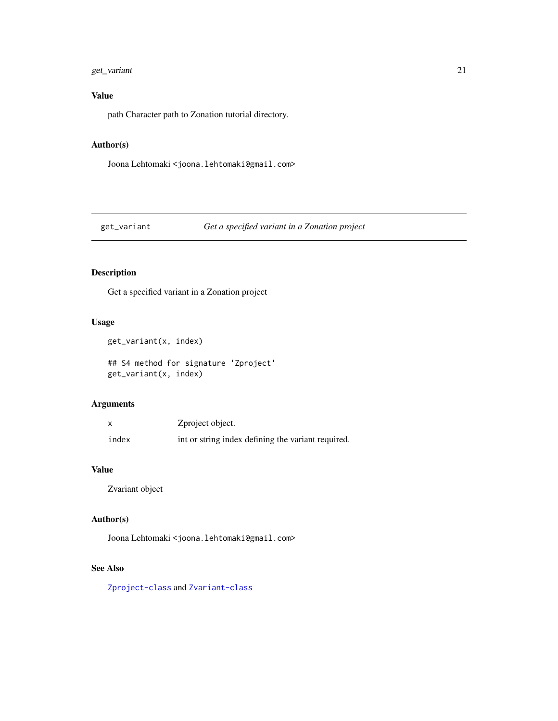# <span id="page-20-0"></span>get\_variant 21

# Value

path Character path to Zonation tutorial directory.

# Author(s)

Joona Lehtomaki <joona.lehtomaki@gmail.com>

# <span id="page-20-1"></span>get\_variant *Get a specified variant in a Zonation project*

# Description

Get a specified variant in a Zonation project

# Usage

get\_variant(x, index)

## S4 method for signature 'Zproject' get\_variant(x, index)

# Arguments

|       | Zproject object.                                   |
|-------|----------------------------------------------------|
| index | int or string index defining the variant required. |

### Value

Zvariant object

# Author(s)

Joona Lehtomaki <joona.lehtomaki@gmail.com>

# See Also

[Zproject-class](#page-55-3) and [Zvariant-class](#page-56-1)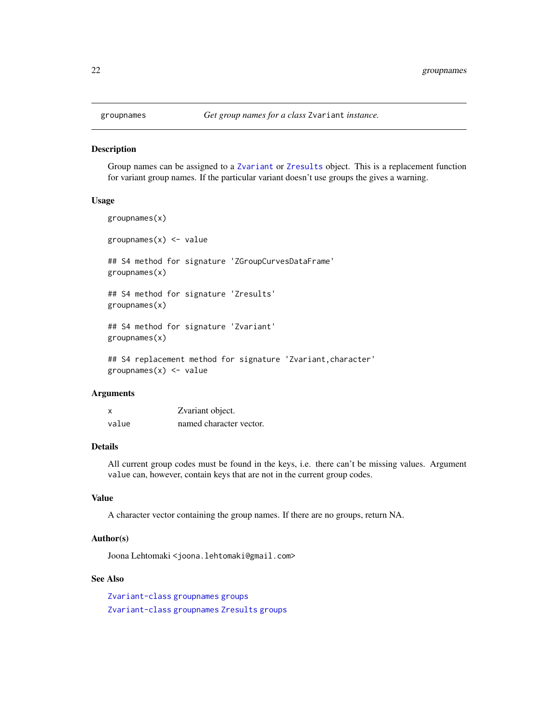<span id="page-21-1"></span><span id="page-21-0"></span>

Group names can be assigned to a [Zvariant](#page-56-2) or [Zresults](#page-55-1) object. This is a replacement function for variant group names. If the particular variant doesn't use groups the gives a warning.

# Usage

```
groupnames(x)
groupnames(x) <- value
## S4 method for signature 'ZGroupCurvesDataFrame'
groupnames(x)
## S4 method for signature 'Zresults'
groupnames(x)
## S4 method for signature 'Zvariant'
groupnames(x)
## S4 replacement method for signature 'Zvariant, character'
groupnames(x) <- value
```
#### Arguments

| x     | Zvariant object.        |
|-------|-------------------------|
| value | named character vector. |

#### Details

All current group codes must be found in the keys, i.e. there can't be missing values. Argument value can, however, contain keys that are not in the current group codes.

#### Value

A character vector containing the group names. If there are no groups, return NA.

#### Author(s)

Joona Lehtomaki <joona.lehtomaki@gmail.com>

#### See Also

[Zvariant-class](#page-56-1) [groupnames](#page-21-1) [groups](#page-22-1) [Zvariant-class](#page-56-1) [groupnames](#page-21-1) [Zresults](#page-55-1) [groups](#page-22-1)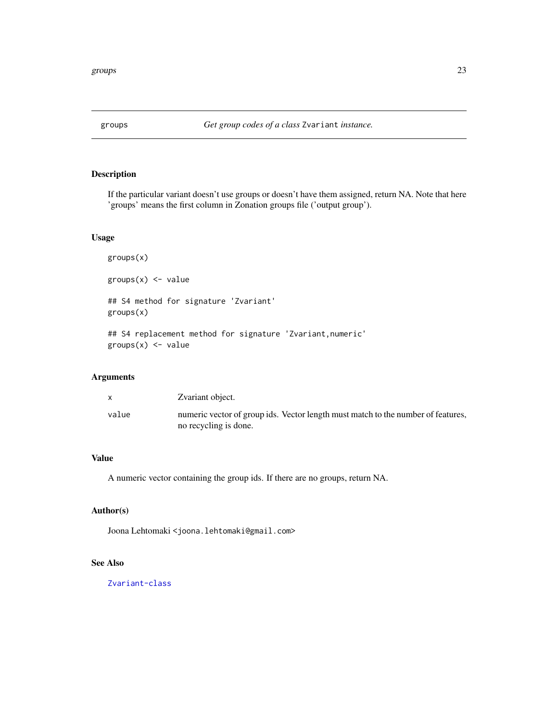<span id="page-22-1"></span><span id="page-22-0"></span>

If the particular variant doesn't use groups or doesn't have them assigned, return NA. Note that here 'groups' means the first column in Zonation groups file ('output group').

# Usage

groups(x)  $groups(x) < - value$ ## S4 method for signature 'Zvariant' groups(x) ## S4 replacement method for signature 'Zvariant,numeric'  $groups(x) \leftarrow value$ 

# Arguments

|       | Zvariant object.                                                                                          |
|-------|-----------------------------------------------------------------------------------------------------------|
| value | numeric vector of group ids. Vector length must match to the number of features,<br>no recycling is done. |

# Value

A numeric vector containing the group ids. If there are no groups, return NA.

# Author(s)

Joona Lehtomaki <joona.lehtomaki@gmail.com>

# See Also

[Zvariant-class](#page-56-1)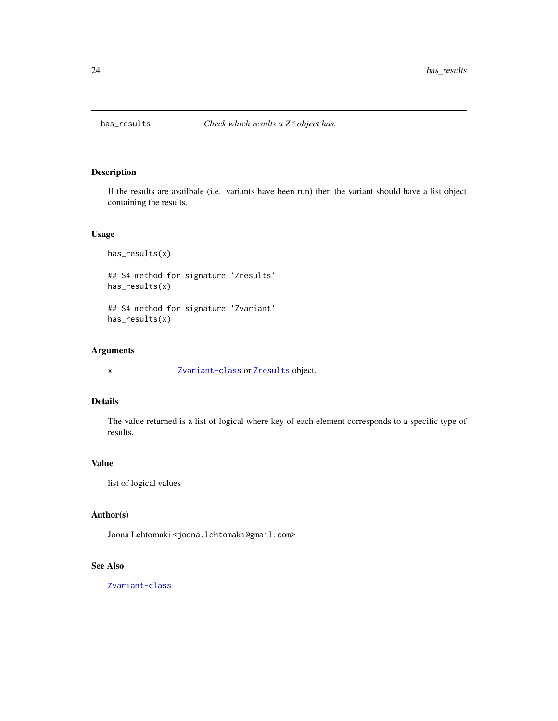<span id="page-23-0"></span>

If the results are availbale (i.e. variants have been run) then the variant should have a list object containing the results.

# Usage

```
has_results(x)
## S4 method for signature 'Zresults'
has_results(x)
## S4 method for signature 'Zvariant'
has_results(x)
```
# Arguments

x [Zvariant-class](#page-56-1) or [Zresults](#page-55-1) object.

# Details

The value returned is a list of logical where key of each element corresponds to a specific type of results.

# Value

list of logical values

#### Author(s)

Joona Lehtomaki <joona.lehtomaki@gmail.com>

# See Also

[Zvariant-class](#page-56-1)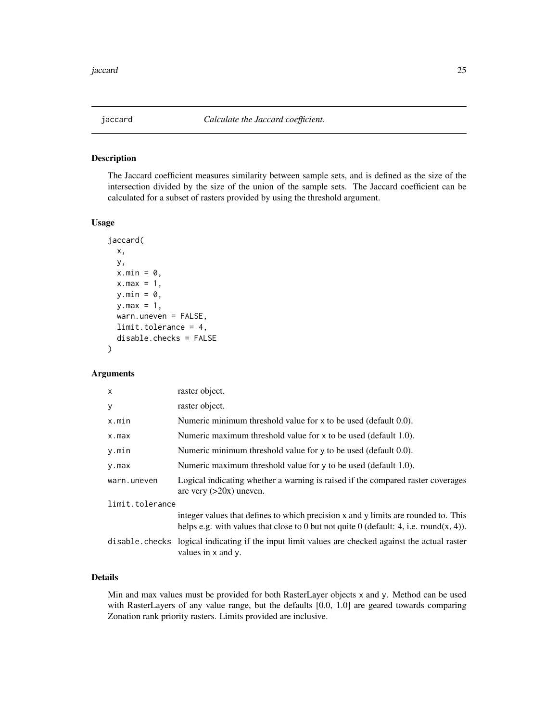<span id="page-24-1"></span><span id="page-24-0"></span>

The Jaccard coefficient measures similarity between sample sets, and is defined as the size of the intersection divided by the size of the union of the sample sets. The Jaccard coefficient can be calculated for a subset of rasters provided by using the threshold argument.

#### Usage

```
jaccard(
 x,
 y,
 x.min = 0,x.max = 1,
 y.min = ∅,
 y.max = 1,
 warn.uneven = FALSE,
 limit.tolerance = 4,
  disable.checks = FALSE
)
```
# Arguments

| $\mathsf{x}$    | raster object.                                                                                                                                                               |  |
|-----------------|------------------------------------------------------------------------------------------------------------------------------------------------------------------------------|--|
| y               | raster object.                                                                                                                                                               |  |
| x.min           | Numeric minimum threshold value for x to be used (default 0.0).                                                                                                              |  |
| x.max           | Numeric maximum threshold value for x to be used (default 1.0).                                                                                                              |  |
| y.min           | Numeric minimum threshold value for $\nu$ to be used (default 0.0).                                                                                                          |  |
| y.max           | Numeric maximum threshold value for y to be used (default 1.0).                                                                                                              |  |
| warn.uneven     | Logical indicating whether a warning is raised if the compared raster coverages<br>are very $(>20x)$ uneven.                                                                 |  |
| limit.tolerance |                                                                                                                                                                              |  |
|                 | integer values that defines to which precision x and y limits are rounded to. This<br>helps e.g. with values that close to 0 but not quite 0 (default: 4, i.e. round(x, 4)). |  |
|                 | disable checks logical indicating if the input limit values are checked against the actual raster<br>values in x and y.                                                      |  |
|                 |                                                                                                                                                                              |  |

# Details

Min and max values must be provided for both RasterLayer objects x and y. Method can be used with RasterLayers of any value range, but the defaults [0.0, 1.0] are geared towards comparing Zonation rank priority rasters. Limits provided are inclusive.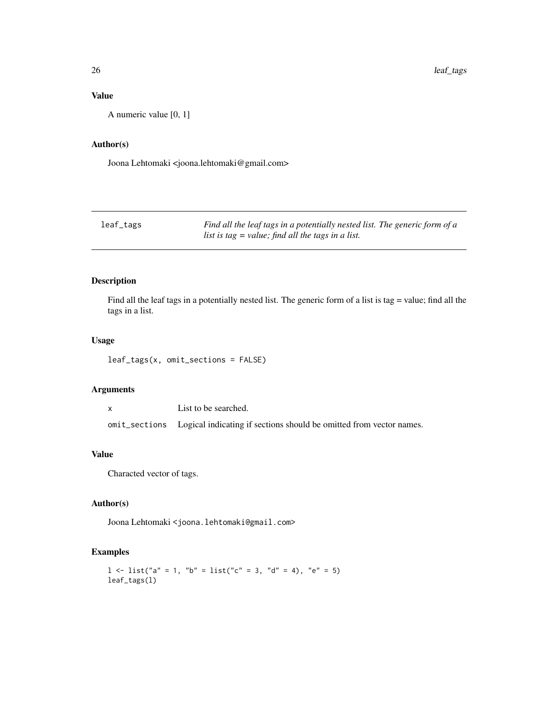# <span id="page-25-0"></span>Value

A numeric value [0, 1]

# Author(s)

Joona Lehtomaki <joona.lehtomaki@gmail.com>

| leaf_tags | Find all the leaf tags in a potentially nested list. The generic form of a |
|-----------|----------------------------------------------------------------------------|
|           | list is tag $=$ value; find all the tags in a list.                        |

# Description

Find all the leaf tags in a potentially nested list. The generic form of a list is tag = value; find all the tags in a list.

#### Usage

leaf\_tags(x, omit\_sections = FALSE)

# Arguments

x List to be searched. omit\_sections Logical indicating if sections should be omitted from vector names.

#### Value

Characted vector of tags.

# Author(s)

Joona Lehtomaki <joona.lehtomaki@gmail.com>

#### Examples

```
1 \le list("a" = 1, "b" = list("c" = 3, "d" = 4), "e" = 5)
leaf_tags(l)
```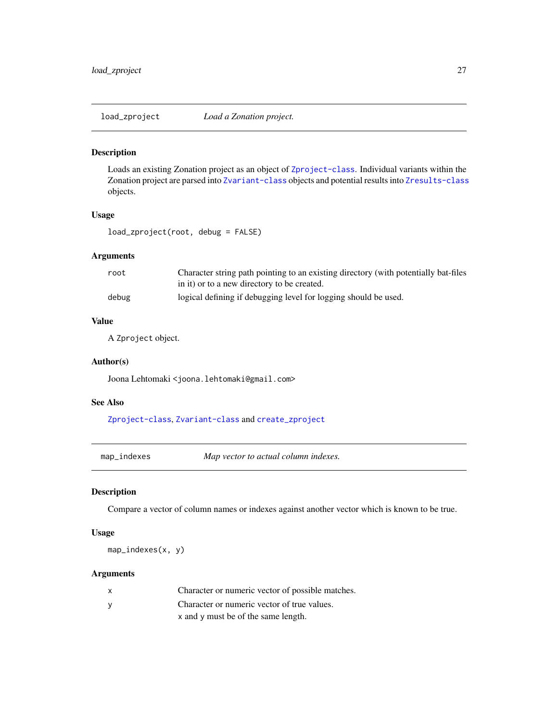<span id="page-26-1"></span><span id="page-26-0"></span>

Loads an existing Zonation project as an object of [Zproject-class](#page-55-3). Individual variants within the Zonation project are parsed into [Zvariant-class](#page-56-1) objects and potential results into [Zresults-class](#page-55-2) objects.

# Usage

load\_zproject(root, debug = FALSE)

# Arguments

| root  | Character string path pointing to an existing directory (with potentially bat-files |
|-------|-------------------------------------------------------------------------------------|
|       | in it) or to a new directory to be created.                                         |
| debug | logical defining if debugging level for logging should be used.                     |

# Value

A Zproject object.

#### Author(s)

Joona Lehtomaki <joona.lehtomaki@gmail.com>

# See Also

[Zproject-class](#page-55-3), [Zvariant-class](#page-56-1) and [create\\_zproject](#page-10-1)

map\_indexes *Map vector to actual column indexes.*

#### Description

Compare a vector of column names or indexes against another vector which is known to be true.

#### Usage

map\_indexes(x, y)

#### Arguments

| X        | Character or numeric vector of possible matches. |
|----------|--------------------------------------------------|
| <b>V</b> | Character or numeric vector of true values.      |
|          | x and y must be of the same length.              |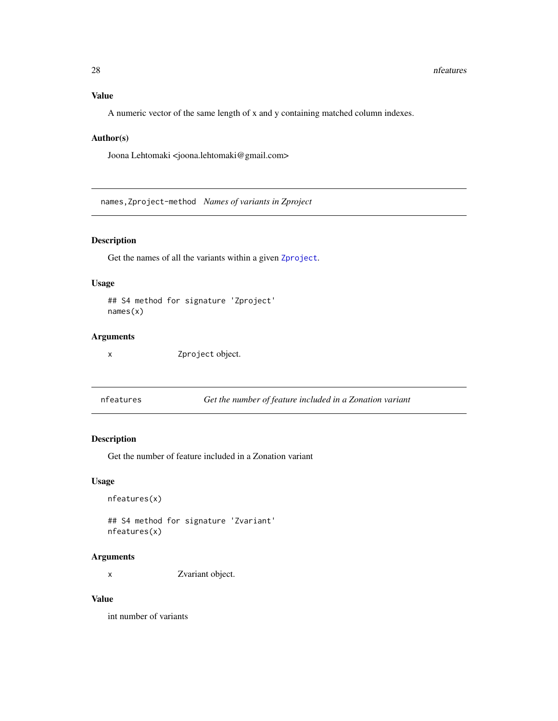# <span id="page-27-0"></span>Value

A numeric vector of the same length of x and y containing matched column indexes.

#### Author(s)

Joona Lehtomaki <joona.lehtomaki@gmail.com>

names,Zproject-method *Names of variants in Zproject*

# Description

Get the names of all the variants within a given [Zproject](#page-55-4).

#### Usage

```
## S4 method for signature 'Zproject'
names(x)
```
# Arguments

x Zproject object.

nfeatures *Get the number of feature included in a Zonation variant*

# Description

Get the number of feature included in a Zonation variant

#### Usage

```
nfeatures(x)
```
## S4 method for signature 'Zvariant' nfeatures(x)

#### Arguments

x Zvariant object.

#### Value

int number of variants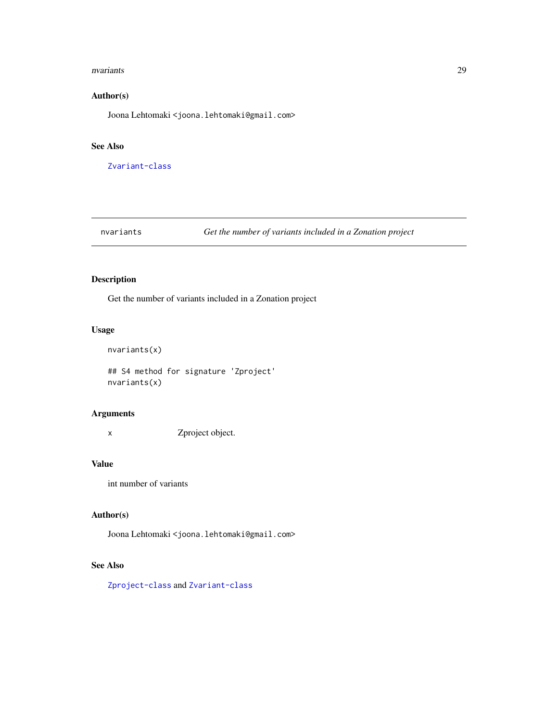#### <span id="page-28-0"></span>nvariants 29

# Author(s)

Joona Lehtomaki <joona.lehtomaki@gmail.com>

#### See Also

[Zvariant-class](#page-56-1)

nvariants *Get the number of variants included in a Zonation project*

# Description

Get the number of variants included in a Zonation project

# Usage

```
nvariants(x)
```
## S4 method for signature 'Zproject' nvariants(x)

# Arguments

x Zproject object.

#### Value

int number of variants

# Author(s)

Joona Lehtomaki <joona.lehtomaki@gmail.com>

# See Also

[Zproject-class](#page-55-3) and [Zvariant-class](#page-56-1)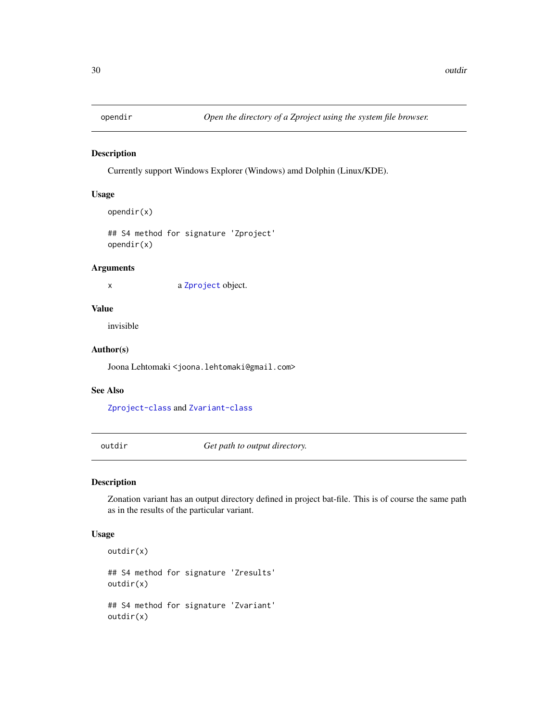<span id="page-29-0"></span>

Currently support Windows Explorer (Windows) amd Dolphin (Linux/KDE).

# Usage

```
opendir(x)
```
## S4 method for signature 'Zproject' opendir(x)

#### Arguments

x a [Zproject](#page-55-4) object.

# Value

invisible

#### Author(s)

Joona Lehtomaki <joona.lehtomaki@gmail.com>

# See Also

[Zproject-class](#page-55-3) and [Zvariant-class](#page-56-1)

outdir *Get path to output directory.*

#### Description

Zonation variant has an output directory defined in project bat-file. This is of course the same path as in the results of the particular variant.

#### Usage

```
outdir(x)
## S4 method for signature 'Zresults'
outdir(x)
## S4 method for signature 'Zvariant'
outdir(x)
```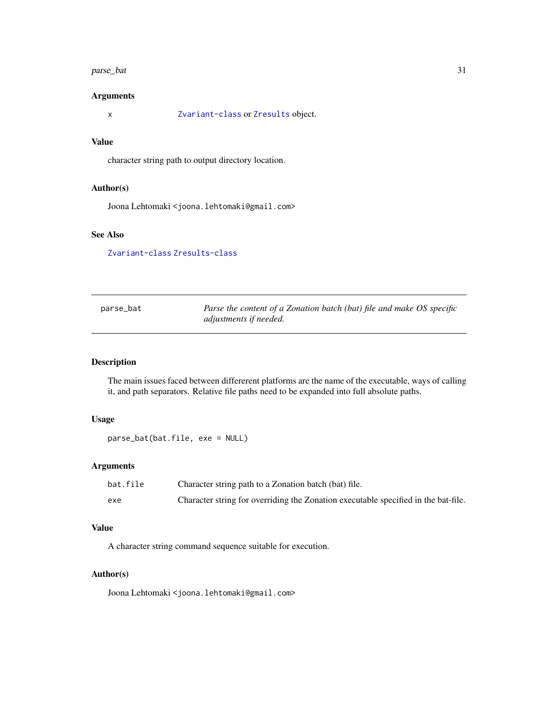#### <span id="page-30-0"></span>parse\_bat 31

# Arguments

x [Zvariant-class](#page-56-1) or [Zresults](#page-55-1) object.

# Value

character string path to output directory location.

#### Author(s)

Joona Lehtomaki <joona.lehtomaki@gmail.com>

# See Also

[Zvariant-class](#page-56-1) [Zresults-class](#page-55-2)

| parse_bat | Parse the content of a Zonation batch (bat) file and make OS specific |
|-----------|-----------------------------------------------------------------------|
|           | adjustments if needed.                                                |

# Description

The main issues faced between differerent platforms are the name of the executable, ways of calling it, and path separators. Relative file paths need to be expanded into full absolute paths.

# Usage

parse\_bat(bat.file, exe = NULL)

# Arguments

| bat.file | Character string path to a Zonation batch (bat) file.                              |
|----------|------------------------------------------------------------------------------------|
| exe      | Character string for overriding the Zonation executable specified in the bat-file. |

# Value

A character string command sequence suitable for execution.

#### Author(s)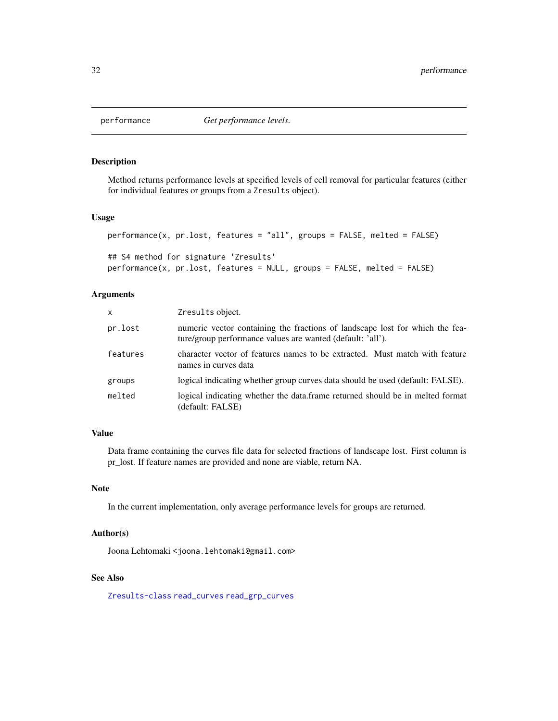<span id="page-31-0"></span>

Method returns performance levels at specified levels of cell removal for particular features (either for individual features or groups from a Zresults object).

#### Usage

```
performance(x, pr.lost, features = "all", groups = FALSE, melted = FALSE)
## S4 method for signature 'Zresults'
```
# performance(x, pr.lost, features = NULL, groups = FALSE, melted = FALSE)

# Arguments

| $\mathsf{x}$ | Zresults object.                                                                                                                           |
|--------------|--------------------------------------------------------------------------------------------------------------------------------------------|
| pr.lost      | numeric vector containing the fractions of landscape lost for which the fea-<br>ture/group performance values are wanted (default: 'all'). |
| features     | character vector of features names to be extracted. Must match with feature<br>names in curves data                                        |
| groups       | logical indicating whether group curves data should be used (default: FALSE).                                                              |
| melted       | logical indicating whether the data.frame returned should be in melted format<br>(default: FALSE)                                          |

# Value

Data frame containing the curves file data for selected fractions of landscape lost. First column is pr\_lost. If feature names are provided and none are viable, return NA.

#### Note

In the current implementation, only average performance levels for groups are returned.

#### Author(s)

Joona Lehtomaki <joona.lehtomaki@gmail.com>

#### See Also

[Zresults-class](#page-55-2) [read\\_curves](#page-38-1) [read\\_grp\\_curves](#page-41-1)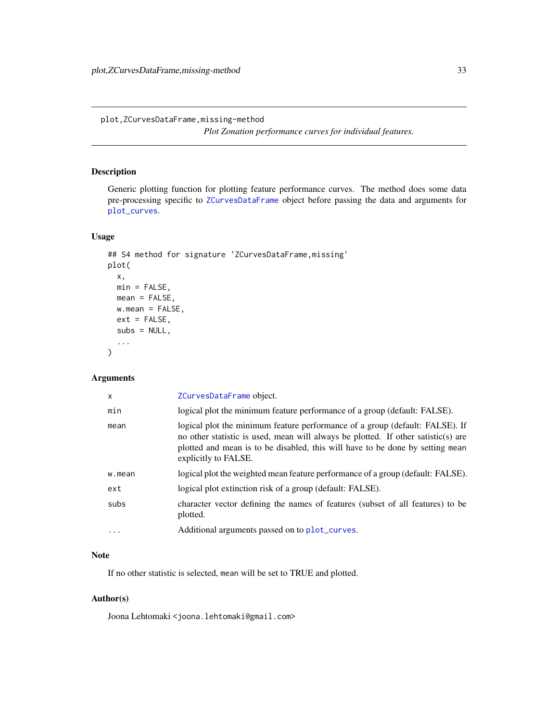<span id="page-32-0"></span>plot,ZCurvesDataFrame,missing-method

*Plot Zonation performance curves for individual features.*

# Description

Generic plotting function for plotting feature performance curves. The method does some data pre-processing specific to [ZCurvesDataFrame](#page-52-1) object before passing the data and arguments for [plot\\_curves](#page-0-0).

# Usage

```
## S4 method for signature 'ZCurvesDataFrame,missing'
plot(
 x,
 min = FALSE,mean = FALSE,
 w.macan = FALSE,ext = FALSE,subs = NULL,...
)
```
# Arguments

| X        | ZCurvesDataFrame object.                                                                                                                                                                                                                                                   |
|----------|----------------------------------------------------------------------------------------------------------------------------------------------------------------------------------------------------------------------------------------------------------------------------|
| min      | logical plot the minimum feature performance of a group (default: FALSE).                                                                                                                                                                                                  |
| mean     | logical plot the minimum feature performance of a group (default: FALSE). If<br>no other statistic is used, mean will always be plotted. If other satistic(s) are<br>plotted and mean is to be disabled, this will have to be done by setting mean<br>explicitly to FALSE. |
| w.mean   | logical plot the weighted mean feature performance of a group (default: FALSE).                                                                                                                                                                                            |
| ext      | logical plot extinction risk of a group (default: FALSE).                                                                                                                                                                                                                  |
| subs     | character vector defining the names of features (subset of all features) to be<br>plotted.                                                                                                                                                                                 |
| $\cdots$ | Additional arguments passed on to plot_curves.                                                                                                                                                                                                                             |

#### Note

If no other statistic is selected, mean will be set to TRUE and plotted.

#### Author(s)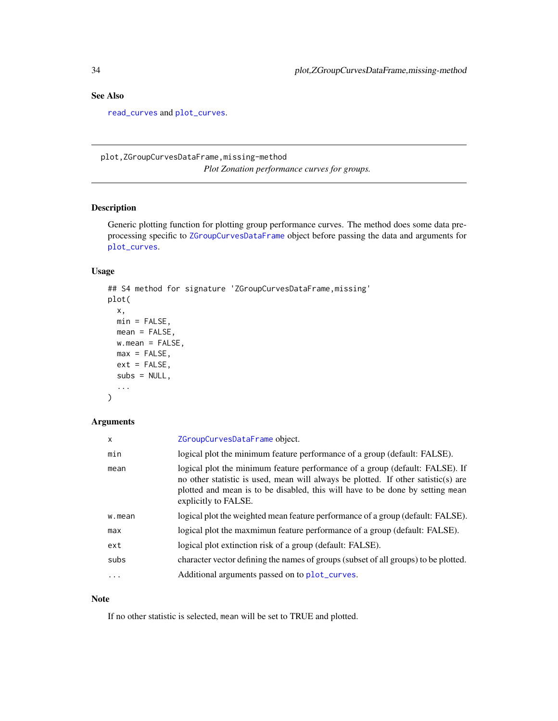# <span id="page-33-0"></span>See Also

[read\\_curves](#page-38-1) and [plot\\_curves](#page-0-0).

plot,ZGroupCurvesDataFrame,missing-method *Plot Zonation performance curves for groups.*

# Description

Generic plotting function for plotting group performance curves. The method does some data preprocessing specific to [ZGroupCurvesDataFrame](#page-53-1) object before passing the data and arguments for [plot\\_curves](#page-0-0).

#### Usage

```
## S4 method for signature 'ZGroupCurvesDataFrame,missing'
plot(
 x,
 min = FALSE,mean = FALSE,
 w.macan = FALSE,max = FALSE,ext = FALSE,subs = NULL,...
\mathcal{L}
```
# Arguments

| x        | ZGroupCurvesDataFrame object.                                                                                                                                                                                                                                              |
|----------|----------------------------------------------------------------------------------------------------------------------------------------------------------------------------------------------------------------------------------------------------------------------------|
| min      | logical plot the minimum feature performance of a group (default: FALSE).                                                                                                                                                                                                  |
| mean     | logical plot the minimum feature performance of a group (default: FALSE). If<br>no other statistic is used, mean will always be plotted. If other satistic(s) are<br>plotted and mean is to be disabled, this will have to be done by setting mean<br>explicitly to FALSE. |
| w.mean   | logical plot the weighted mean feature performance of a group (default: FALSE).                                                                                                                                                                                            |
| max      | logical plot the maxmimun feature performance of a group (default: FALSE).                                                                                                                                                                                                 |
| ext      | logical plot extinction risk of a group (default: FALSE).                                                                                                                                                                                                                  |
| subs     | character vector defining the names of groups (subset of all groups) to be plotted.                                                                                                                                                                                        |
| $\cdots$ | Additional arguments passed on to plot_curves.                                                                                                                                                                                                                             |

# Note

If no other statistic is selected, mean will be set to TRUE and plotted.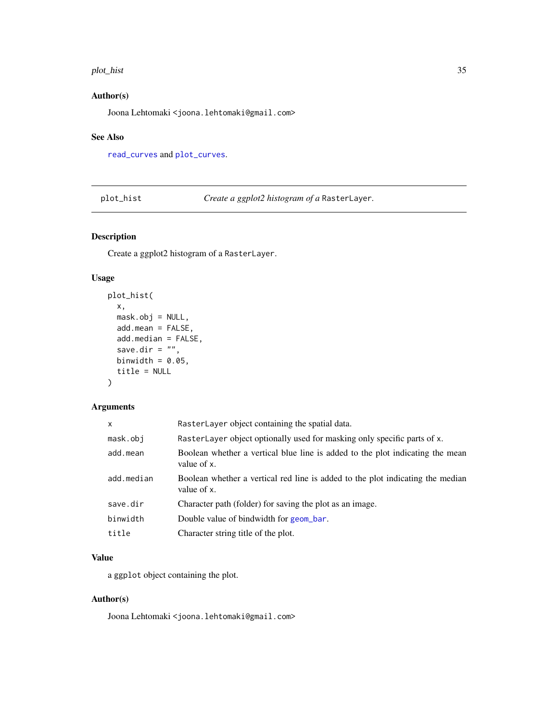#### <span id="page-34-0"></span>plot\_hist 35

# Author(s)

Joona Lehtomaki <joona.lehtomaki@gmail.com>

#### See Also

[read\\_curves](#page-38-1) and [plot\\_curves](#page-0-0).

plot\_hist *Create a ggplot2 histogram of a* RasterLayer*.*

# Description

Create a ggplot2 histogram of a RasterLayer.

# Usage

```
plot_hist(
  x,
 mask.obj = NULL,
 add.mean = FALSE,
 add.median = FALSE,
  save.dir = ",
 binwidth = 0.05,
  title = NULL
\mathcal{L}
```
# Arguments

| x          | RasterLayer object containing the spatial data.                                               |
|------------|-----------------------------------------------------------------------------------------------|
| mask.obi   | RasterLayer object optionally used for masking only specific parts of x.                      |
| add.mean   | Boolean whether a vertical blue line is added to the plot indicating the mean<br>value of x.  |
| add.median | Boolean whether a vertical red line is added to the plot indicating the median<br>value of x. |
| save.dir   | Character path (folder) for saving the plot as an image.                                      |
| binwidth   | Double value of bindwidth for geom bar.                                                       |
| title      | Character string title of the plot.                                                           |

# Value

a ggplot object containing the plot.

# Author(s)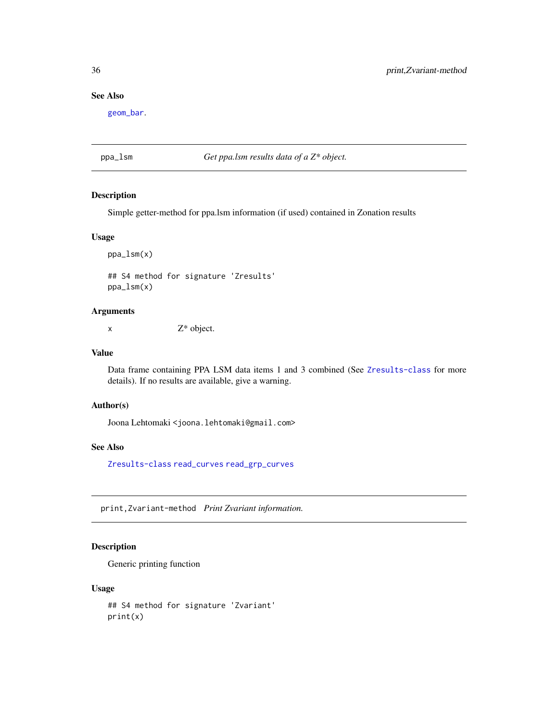# See Also

[geom\\_bar](#page-0-0).

# ppa\_lsm *Get ppa.lsm results data of a Z\* object.*

# Description

Simple getter-method for ppa.lsm information (if used) contained in Zonation results

# Usage

ppa\_lsm(x) ## S4 method for signature 'Zresults'

ppa\_lsm(x)

# Arguments

 $x \t\t Z^*$  object.

#### Value

Data frame containing PPA LSM data items 1 and 3 combined (See [Zresults-class](#page-55-2) for more details). If no results are available, give a warning.

# Author(s)

Joona Lehtomaki <joona.lehtomaki@gmail.com>

### See Also

[Zresults-class](#page-55-2) [read\\_curves](#page-38-1) [read\\_grp\\_curves](#page-41-1)

print,Zvariant-method *Print Zvariant information.*

# Description

Generic printing function

#### Usage

## S4 method for signature 'Zvariant' print(x)

<span id="page-35-0"></span>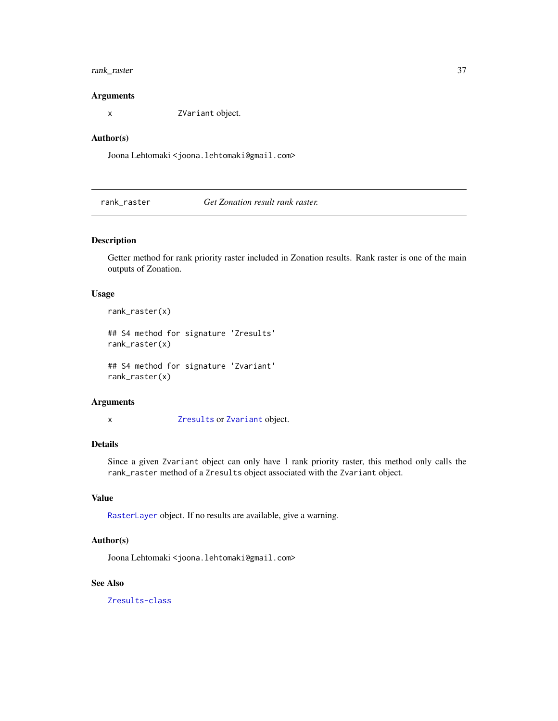# <span id="page-36-0"></span>rank\_raster 37

#### Arguments

x ZVariant object.

#### Author(s)

Joona Lehtomaki <joona.lehtomaki@gmail.com>

<span id="page-36-1"></span>rank\_raster *Get Zonation result rank raster.*

# Description

Getter method for rank priority raster included in Zonation results. Rank raster is one of the main outputs of Zonation.

#### Usage

rank\_raster(x)

## S4 method for signature 'Zresults' rank\_raster(x)

## S4 method for signature 'Zvariant' rank\_raster(x)

### Arguments

x [Zresults](#page-55-1) or [Zvariant](#page-56-2) object.

#### Details

Since a given Zvariant object can only have 1 rank priority raster, this method only calls the rank\_raster method of a Zresults object associated with the Zvariant object.

#### Value

[RasterLayer](#page-0-0) object. If no results are available, give a warning.

# Author(s)

Joona Lehtomaki <joona.lehtomaki@gmail.com>

# See Also

[Zresults-class](#page-55-2)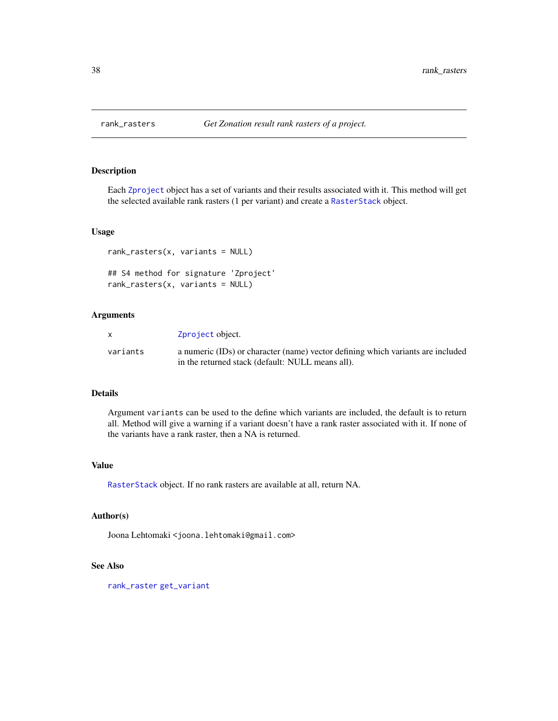<span id="page-37-0"></span>

Each [Zproject](#page-55-4) object has a set of variants and their results associated with it. This method will get the selected available rank rasters (1 per variant) and create a [RasterStack](#page-0-0) object.

#### Usage

```
rank_rasters(x, variants = NULL)
## S4 method for signature 'Zproject'
rank_rasters(x, variants = NULL)
```
# Arguments

| $\mathsf{x}$ | Zproject object.                                                                |
|--------------|---------------------------------------------------------------------------------|
| variants     | a numeric (IDs) or character (name) vector defining which variants are included |
|              | in the returned stack (default: NULL means all).                                |

#### Details

Argument variants can be used to the define which variants are included, the default is to return all. Method will give a warning if a variant doesn't have a rank raster associated with it. If none of the variants have a rank raster, then a NA is returned.

# Value

[RasterStack](#page-0-0) object. If no rank rasters are available at all, return NA.

# Author(s)

Joona Lehtomaki <joona.lehtomaki@gmail.com>

# See Also

[rank\\_raster](#page-36-1) [get\\_variant](#page-20-1)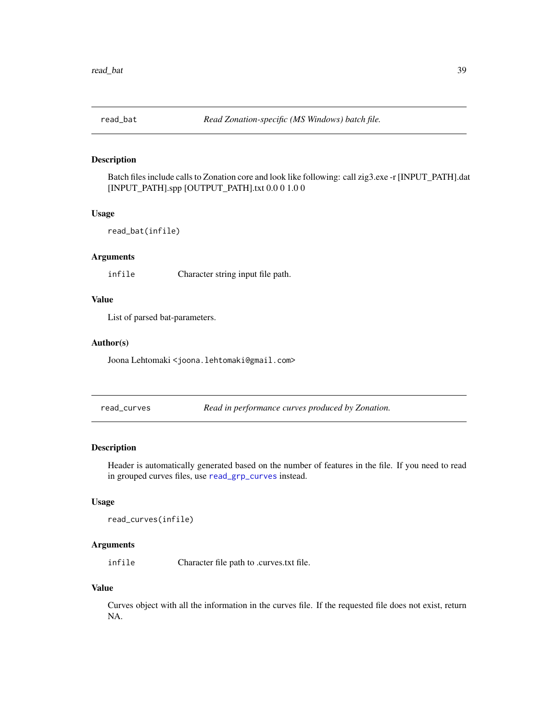<span id="page-38-0"></span>

Batch files include calls to Zonation core and look like following: call zig3.exe -r [INPUT\_PATH].dat [INPUT\_PATH].spp [OUTPUT\_PATH].txt 0.0 0 1.0 0

#### Usage

```
read_bat(infile)
```
# Arguments

infile Character string input file path.

#### Value

List of parsed bat-parameters.

#### Author(s)

Joona Lehtomaki <joona.lehtomaki@gmail.com>

<span id="page-38-1"></span>read\_curves *Read in performance curves produced by Zonation.*

# Description

Header is automatically generated based on the number of features in the file. If you need to read in grouped curves files, use [read\\_grp\\_curves](#page-41-1) instead.

#### Usage

```
read_curves(infile)
```
#### Arguments

infile Character file path to .curves.txt file.

#### Value

Curves object with all the information in the curves file. If the requested file does not exist, return NA.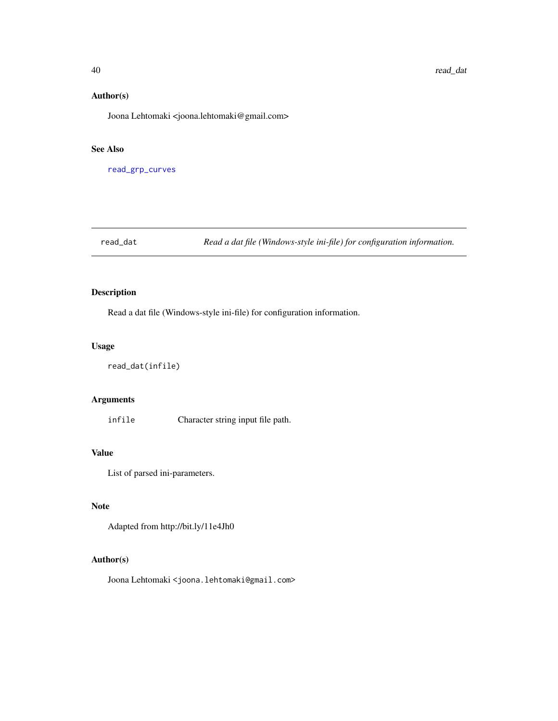#### Author(s)

Joona Lehtomaki <joona.lehtomaki@gmail.com>

#### See Also

[read\\_grp\\_curves](#page-41-1)

read\_dat *Read a dat file (Windows-style ini-file) for configuration information.*

# Description

Read a dat file (Windows-style ini-file) for configuration information.

#### Usage

```
read_dat(infile)
```
# Arguments

infile Character string input file path.

# Value

List of parsed ini-parameters.

# Note

Adapted from http://bit.ly/11e4Jh0

#### Author(s)

<span id="page-39-0"></span>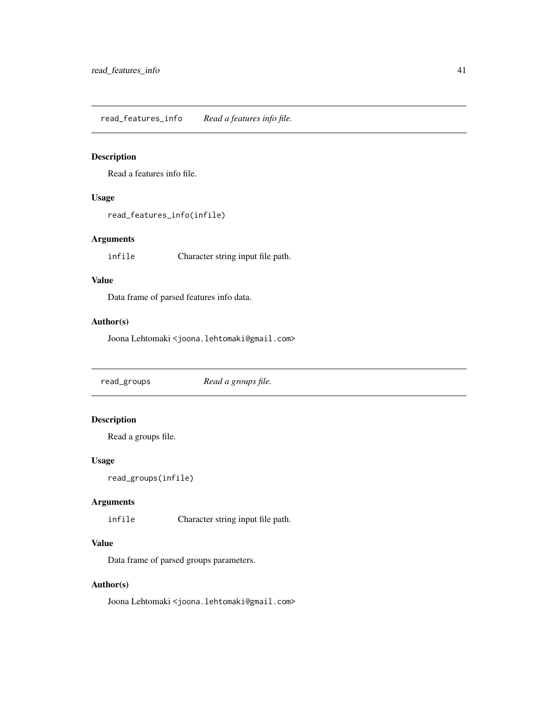<span id="page-40-0"></span>read\_features\_info *Read a features info file.*

# Description

Read a features info file.

# Usage

read\_features\_info(infile)

# Arguments

infile Character string input file path.

# Value

Data frame of parsed features info data.

# Author(s)

Joona Lehtomaki <joona.lehtomaki@gmail.com>

read\_groups *Read a groups file.*

# Description

Read a groups file.

# Usage

read\_groups(infile)

# Arguments

infile Character string input file path.

# Value

Data frame of parsed groups parameters.

# Author(s)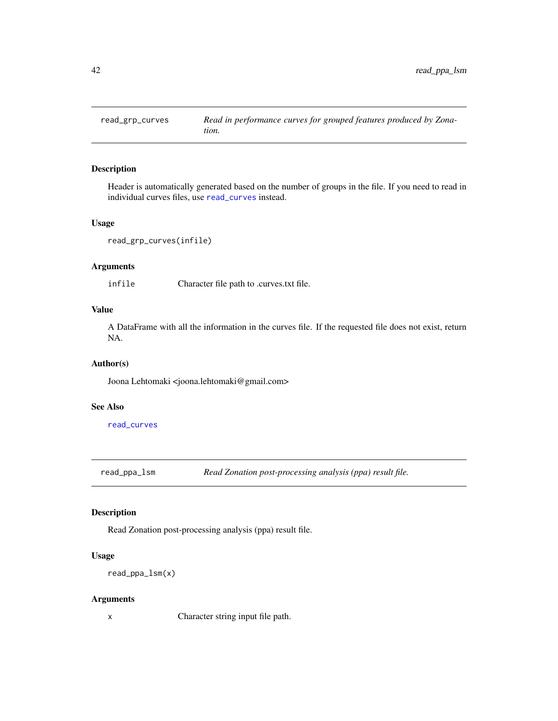<span id="page-41-1"></span><span id="page-41-0"></span>

Header is automatically generated based on the number of groups in the file. If you need to read in individual curves files, use [read\\_curves](#page-38-1) instead.

#### Usage

```
read_grp_curves(infile)
```
# Arguments

infile Character file path to .curves.txt file.

# Value

A DataFrame with all the information in the curves file. If the requested file does not exist, return NA.

#### Author(s)

Joona Lehtomaki <joona.lehtomaki@gmail.com>

#### See Also

[read\\_curves](#page-38-1)

read\_ppa\_lsm *Read Zonation post-processing analysis (ppa) result file.*

#### Description

Read Zonation post-processing analysis (ppa) result file.

# Usage

```
read_ppa_lsm(x)
```
#### Arguments

x Character string input file path.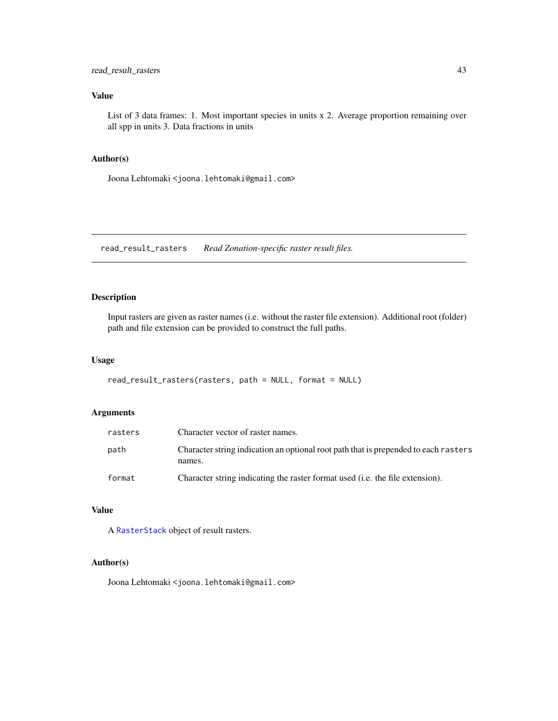# <span id="page-42-0"></span>Value

List of 3 data frames: 1. Most important species in units x 2. Average proportion remaining over all spp in units 3. Data fractions in units

#### Author(s)

Joona Lehtomaki <joona.lehtomaki@gmail.com>

read\_result\_rasters *Read Zonation-specific raster result files.*

#### Description

Input rasters are given as raster names (i.e. without the raster file extension). Additional root (folder) path and file extension can be provided to construct the full paths.

#### Usage

```
read_result_rasters(rasters, path = NULL, format = NULL)
```
#### Arguments

| rasters | Character vector of raster names.                                                             |
|---------|-----------------------------------------------------------------------------------------------|
| path    | Character string indication an optional root path that is prepended to each rasters<br>names. |
| format  | Character string indicating the raster format used (i.e. the file extension).                 |

# Value

A [RasterStack](#page-0-0) object of result rasters.

#### Author(s)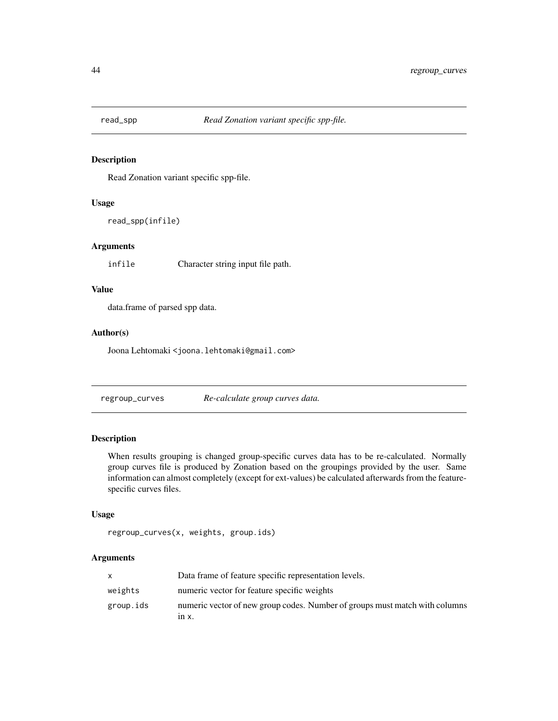<span id="page-43-0"></span>

Read Zonation variant specific spp-file.

#### Usage

read\_spp(infile)

# Arguments

infile Character string input file path.

# Value

data.frame of parsed spp data.

# Author(s)

Joona Lehtomaki <joona.lehtomaki@gmail.com>

regroup\_curves *Re-calculate group curves data.*

# Description

When results grouping is changed group-specific curves data has to be re-calculated. Normally group curves file is produced by Zonation based on the groupings provided by the user. Same information can almost completely (except for ext-values) be calculated afterwards from the featurespecific curves files.

#### Usage

```
regroup_curves(x, weights, group.ids)
```
#### Arguments

|           | Data frame of feature specific representation levels.                                 |
|-----------|---------------------------------------------------------------------------------------|
| weights   | numeric vector for feature specific weights                                           |
| group.ids | numeric vector of new group codes. Number of groups must match with columns<br>111 X. |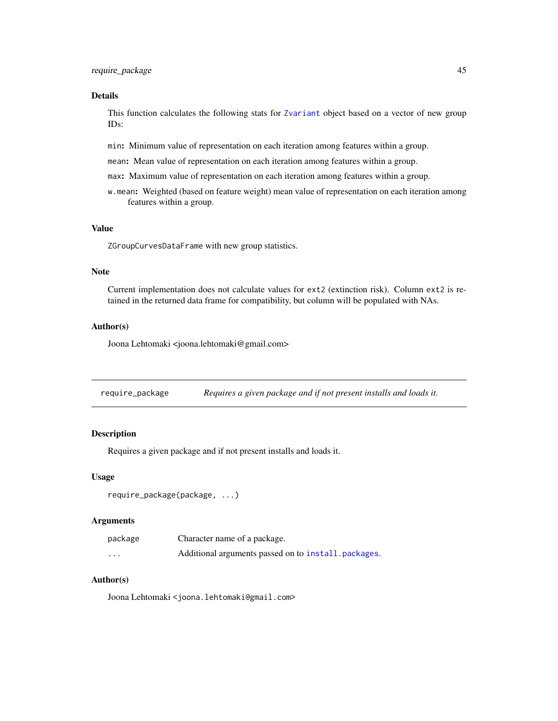#### <span id="page-44-0"></span>Details

This function calculates the following stats for [Zvariant](#page-56-2) object based on a vector of new group IDs:

min: Minimum value of representation on each iteration among features within a group.

mean: Mean value of representation on each iteration among features within a group.

max: Maximum value of representation on each iteration among features within a group.

w.mean: Weighted (based on feature weight) mean value of representation on each iteration among features within a group.

#### Value

ZGroupCurvesDataFrame with new group statistics.

#### Note

Current implementation does not calculate values for ext2 (extinction risk). Column ext2 is retained in the returned data frame for compatibility, but column will be populated with NAs.

#### Author(s)

Joona Lehtomaki <joona.lehtomaki@gmail.com>

require\_package *Requires a given package and if not present installs and loads it.*

#### Description

Requires a given package and if not present installs and loads it.

#### Usage

```
require_package(package, ...)
```
#### Arguments

| package | Character name of a package.                         |
|---------|------------------------------------------------------|
| .       | Additional arguments passed on to install, packages. |

#### Author(s)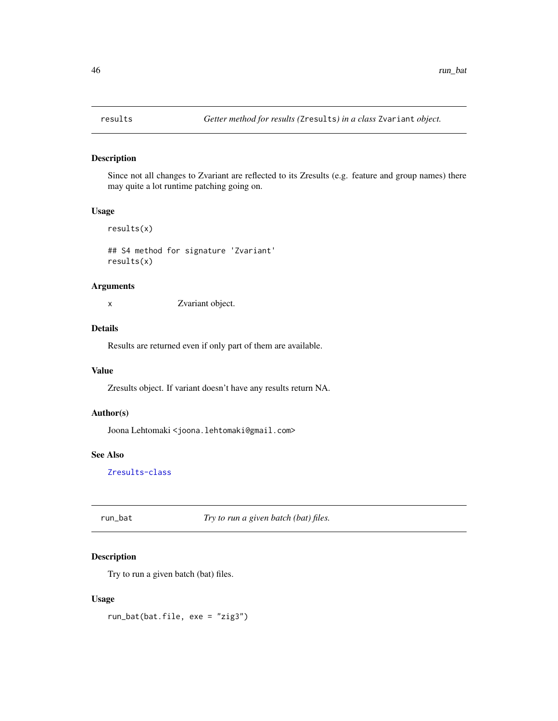<span id="page-45-0"></span>

Since not all changes to Zvariant are reflected to its Zresults (e.g. feature and group names) there may quite a lot runtime patching going on.

#### Usage

results(x)

## S4 method for signature 'Zvariant' results(x)

# Arguments

x Zvariant object.

# Details

Results are returned even if only part of them are available.

# Value

Zresults object. If variant doesn't have any results return NA.

#### Author(s)

Joona Lehtomaki <joona.lehtomaki@gmail.com>

#### See Also

[Zresults-class](#page-55-2)

run\_bat *Try to run a given batch (bat) files.*

# Description

Try to run a given batch (bat) files.

#### Usage

run\_bat(bat.file, exe = "zig3")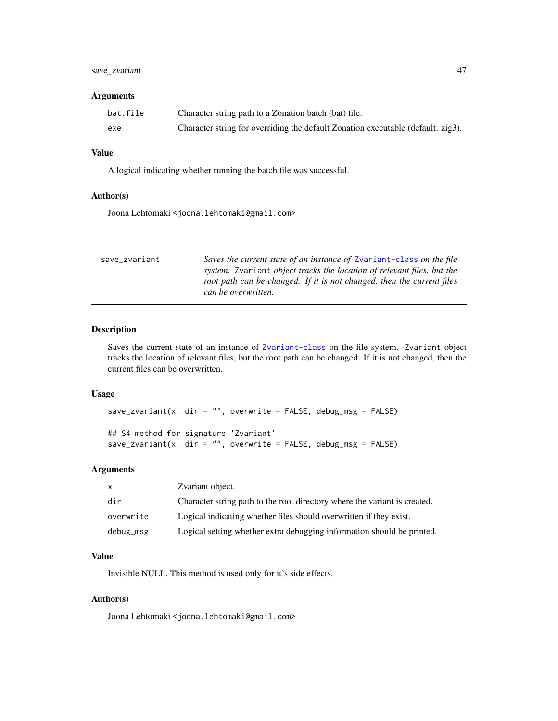# <span id="page-46-0"></span>save\_zvariant 47

#### Arguments

| bat.file | Character string path to a Zonation batch (bat) file.                            |
|----------|----------------------------------------------------------------------------------|
| exe      | Character string for overriding the default Zonation executable (default: zig3). |

#### Value

A logical indicating whether running the batch file was successful.

# Author(s)

Joona Lehtomaki <joona.lehtomaki@gmail.com>

<span id="page-46-1"></span>

| save_zvariant | Saves the current state of an instance of Zvariant-class on the file<br>system. Zvariant <i>object tracks the location of relevant files, but the</i><br>root path can be changed. If it is not changed, then the current files<br>can be overwritten. |
|---------------|--------------------------------------------------------------------------------------------------------------------------------------------------------------------------------------------------------------------------------------------------------|
|               |                                                                                                                                                                                                                                                        |

# Description

Saves the current state of an instance of [Zvariant-class](#page-56-1) on the file system. Zvariant object tracks the location of relevant files, but the root path can be changed. If it is not changed, then the current files can be overwritten.

#### Usage

```
save_zvariant(x, dir = "", overwrite = FALSE, debug_msg = FALSE)
```

```
## S4 method for signature 'Zvariant'
save_zvariant(x, dir = "", overwrite = FALSE, debug_msg = FALSE)
```
#### Arguments

| $\mathsf{x}$ | Zvariant object.                                                          |
|--------------|---------------------------------------------------------------------------|
| dir          | Character string path to the root directory where the variant is created. |
| overwrite    | Logical indicating whether files should overwritten if they exist.        |
| debug_msg    | Logical setting whether extra debugging information should be printed.    |

# Value

Invisible NULL. This method is used only for it's side effects.

# Author(s)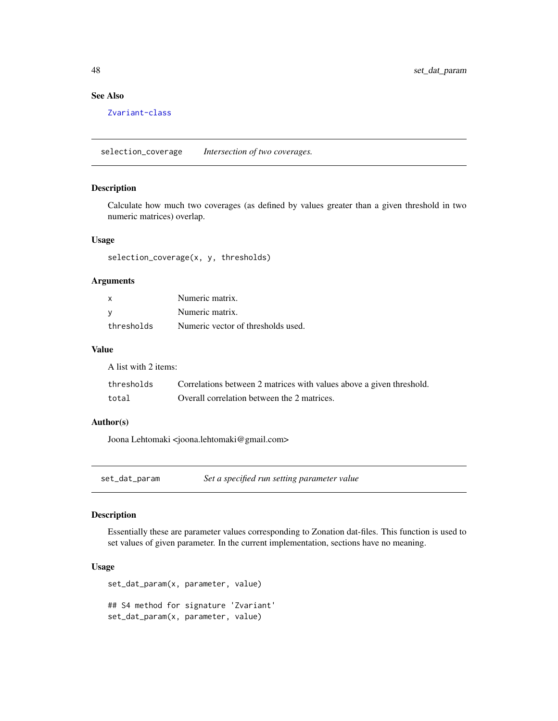# See Also

[Zvariant-class](#page-56-1)

selection\_coverage *Intersection of two coverages.*

# Description

Calculate how much two coverages (as defined by values greater than a given threshold in two numeric matrices) overlap.

# Usage

selection\_coverage(x, y, thresholds)

# Arguments

| X          | Numeric matrix.                    |
|------------|------------------------------------|
| - V        | Numeric matrix.                    |
| thresholds | Numeric vector of thresholds used. |

#### Value

A list with 2 items:

| thresholds | Correlations between 2 matrices with values above a given threshold. |
|------------|----------------------------------------------------------------------|
| total      | Overall correlation between the 2 matrices.                          |

#### Author(s)

Joona Lehtomaki <joona.lehtomaki@gmail.com>

<span id="page-47-1"></span>set\_dat\_param *Set a specified run setting parameter value*

# Description

Essentially these are parameter values corresponding to Zonation dat-files. This function is used to set values of given parameter. In the current implementation, sections have no meaning.

# Usage

```
set_dat_param(x, parameter, value)
## S4 method for signature 'Zvariant'
set_dat_param(x, parameter, value)
```
<span id="page-47-0"></span>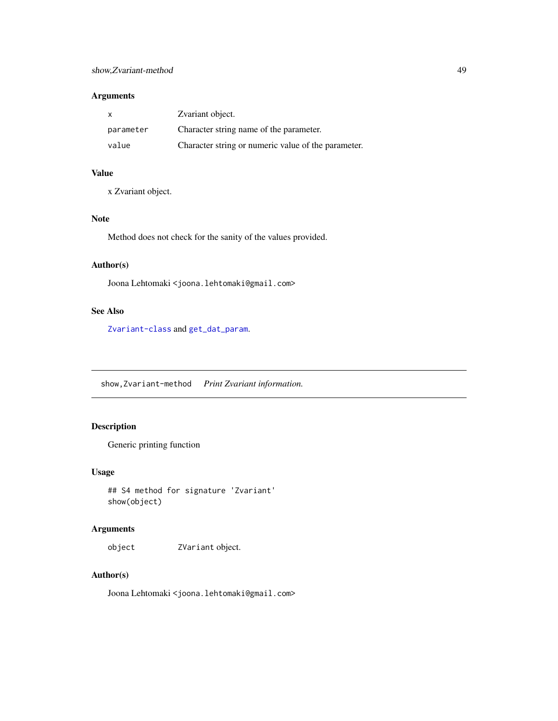# <span id="page-48-0"></span>Arguments

| X         | Zvariant object.                                    |
|-----------|-----------------------------------------------------|
| parameter | Character string name of the parameter.             |
| value     | Character string or numeric value of the parameter. |

#### Value

x Zvariant object.

# Note

Method does not check for the sanity of the values provided.

# Author(s)

Joona Lehtomaki <joona.lehtomaki@gmail.com>

# See Also

[Zvariant-class](#page-56-1) and [get\\_dat\\_param](#page-19-1).

show,Zvariant-method *Print Zvariant information.*

# Description

Generic printing function

#### Usage

## S4 method for signature 'Zvariant' show(object)

# Arguments

object ZVariant object.

# Author(s)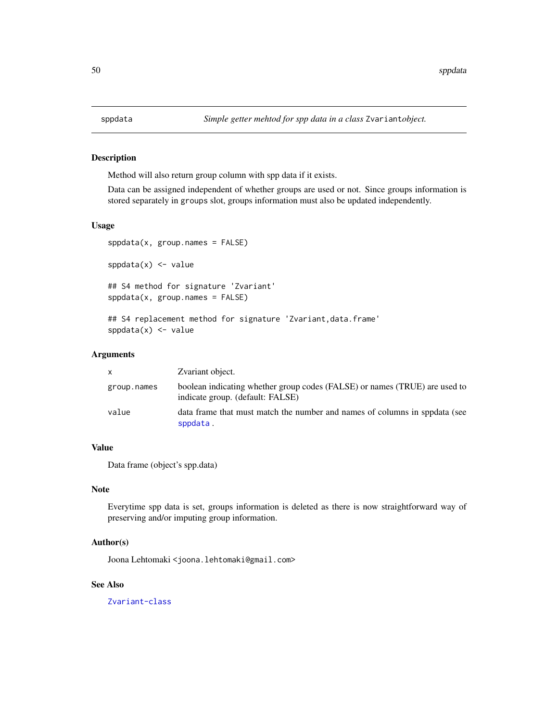<span id="page-49-1"></span><span id="page-49-0"></span>Method will also return group column with spp data if it exists.

Data can be assigned independent of whether groups are used or not. Since groups information is stored separately in groups slot, groups information must also be updated independently.

# Usage

```
sppdata(x, group.names = FALSE)
sppdata(x) \leftarrow value## S4 method for signature 'Zvariant'
sppdata(x, group.names = FALSE)
## S4 replacement method for signature 'Zvariant, data.frame'
sppdata(x) < - value
```
#### Arguments

| X.          | Zvariant object.                                                                                               |
|-------------|----------------------------------------------------------------------------------------------------------------|
| group.names | boolean indicating whether group codes (FALSE) or names (TRUE) are used to<br>indicate group. (default: FALSE) |
| value       | data frame that must match the number and names of columns in sppdata (see<br>sppdata.                         |

# Value

Data frame (object's spp.data)

#### Note

Everytime spp data is set, groups information is deleted as there is now straightforward way of preserving and/or imputing group information.

#### Author(s)

Joona Lehtomaki <joona.lehtomaki@gmail.com>

#### See Also

[Zvariant-class](#page-56-1)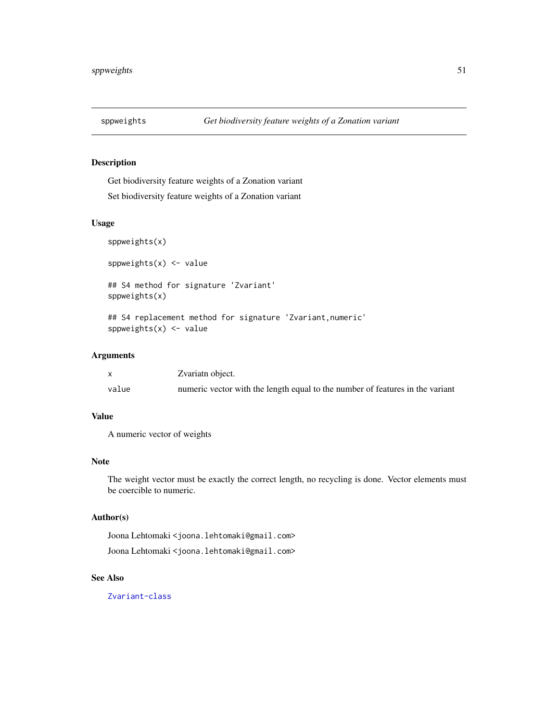<span id="page-50-0"></span>

Get biodiversity feature weights of a Zonation variant

Set biodiversity feature weights of a Zonation variant

#### Usage

sppweights(x)

sppweights $(x)$  <- value

## S4 method for signature 'Zvariant' sppweights(x)

## S4 replacement method for signature 'Zvariant,numeric' sppweights $(x)$  <- value

#### Arguments

|       | Zvariatn object.                                                              |
|-------|-------------------------------------------------------------------------------|
| value | numeric vector with the length equal to the number of features in the variant |

# Value

A numeric vector of weights

#### Note

The weight vector must be exactly the correct length, no recycling is done. Vector elements must be coercible to numeric.

# Author(s)

Joona Lehtomaki <joona.lehtomaki@gmail.com> Joona Lehtomaki <joona.lehtomaki@gmail.com>

# See Also

[Zvariant-class](#page-56-1)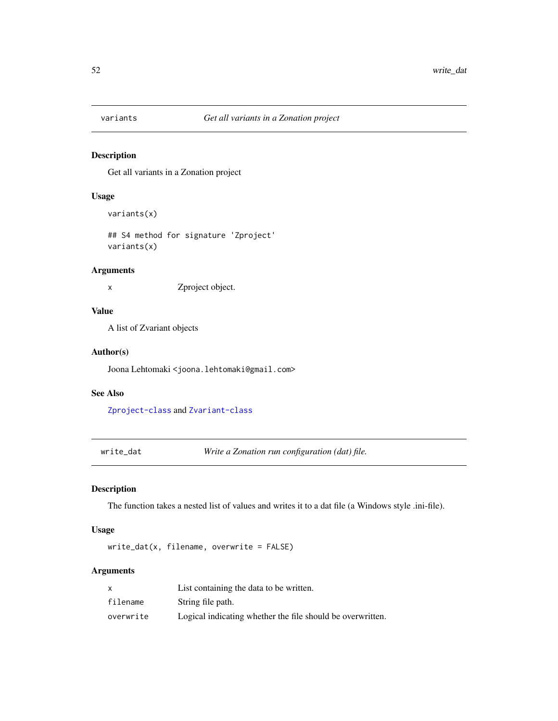<span id="page-51-0"></span>

Get all variants in a Zonation project

# Usage

variants(x)

## S4 method for signature 'Zproject' variants(x)

# Arguments

x Zproject object.

# Value

A list of Zvariant objects

#### Author(s)

Joona Lehtomaki <joona.lehtomaki@gmail.com>

# See Also

[Zproject-class](#page-55-3) and [Zvariant-class](#page-56-1)

write\_dat *Write a Zonation run configuration (dat) file.*

# Description

The function takes a nested list of values and writes it to a dat file (a Windows style .ini-file).

#### Usage

write\_dat(x, filename, overwrite = FALSE)

# Arguments

|           | List containing the data to be written.                    |
|-----------|------------------------------------------------------------|
| filename  | String file path.                                          |
| overwrite | Logical indicating whether the file should be overwritten. |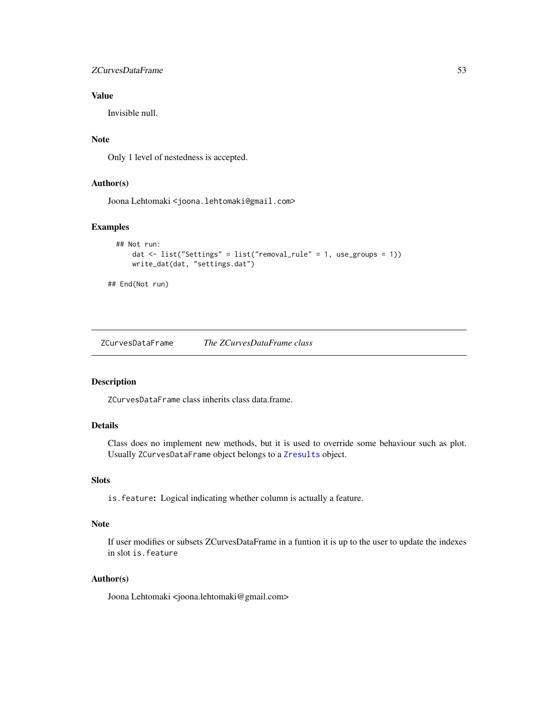#### <span id="page-52-0"></span>zCurvesDataFrame 53

# Value

Invisible null.

# Note

Only 1 level of nestedness is accepted.

# Author(s)

Joona Lehtomaki <joona.lehtomaki@gmail.com>

#### Examples

```
## Not run:
    dat \le list("Settings" = list("removal_rule" = 1, use_groups = 1))
    write_dat(dat, "settings.dat")
```
## End(Not run)

<span id="page-52-1"></span>ZCurvesDataFrame *The ZCurvesDataFrame class*

# Description

ZCurvesDataFrame class inherits class data.frame.

# Details

Class does no implement new methods, but it is used to override some behaviour such as plot. Usually ZCurvesDataFrame object belongs to a [Zresults](#page-55-1) object.

# Slots

is.feature: Logical indicating whether column is actually a feature.

#### Note

If user modifies or subsets ZCurvesDataFrame in a funtion it is up to the user to update the indexes in slot is.feature

#### Author(s)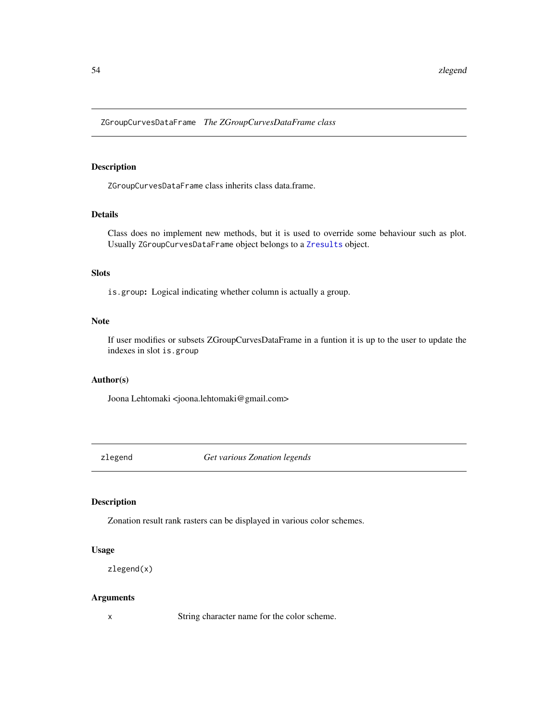<span id="page-53-1"></span><span id="page-53-0"></span>ZGroupCurvesDataFrame *The ZGroupCurvesDataFrame class*

#### Description

ZGroupCurvesDataFrame class inherits class data.frame.

# Details

Class does no implement new methods, but it is used to override some behaviour such as plot. Usually ZGroupCurvesDataFrame object belongs to a [Zresults](#page-55-1) object.

# Slots

is.group: Logical indicating whether column is actually a group.

#### Note

If user modifies or subsets ZGroupCurvesDataFrame in a funtion it is up to the user to update the indexes in slot is.group

#### Author(s)

Joona Lehtomaki <joona.lehtomaki@gmail.com>

zlegend *Get various Zonation legends*

# Description

Zonation result rank rasters can be displayed in various color schemes.

#### Usage

```
zlegend(x)
```
#### Arguments

x String character name for the color scheme.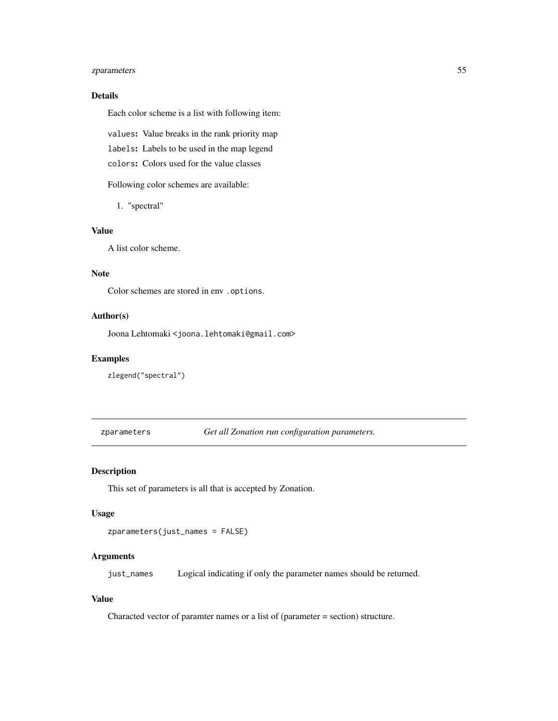# <span id="page-54-0"></span>zparameters 55

# Details

Each color scheme is a list with following item:

values: Value breaks in the rank priority map

labels: Labels to be used in the map legend

colors: Colors used for the value classes

Following color schemes are available:

1. "spectral"

# Value

A list color scheme.

#### Note

Color schemes are stored in env .options.

# Author(s)

Joona Lehtomaki <joona.lehtomaki@gmail.com>

# Examples

zlegend("spectral")

zparameters *Get all Zonation run configuration parameters.*

#### Description

This set of parameters is all that is accepted by Zonation.

#### Usage

```
zparameters(just_names = FALSE)
```
# Arguments

just\_names Logical indicating if only the parameter names should be returned.

# Value

Characted vector of paramter names or a list of (parameter = section) structure.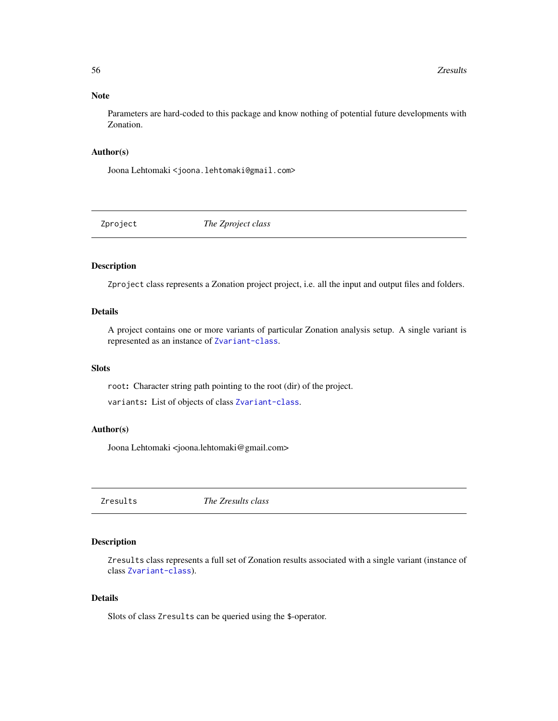#### <span id="page-55-0"></span>Note

Parameters are hard-coded to this package and know nothing of potential future developments with Zonation.

#### Author(s)

Joona Lehtomaki <joona.lehtomaki@gmail.com>

<span id="page-55-4"></span>Zproject *The Zproject class*

# <span id="page-55-3"></span>Description

Zproject class represents a Zonation project project, i.e. all the input and output files and folders.

# Details

A project contains one or more variants of particular Zonation analysis setup. A single variant is represented as an instance of [Zvariant-class](#page-56-1).

#### Slots

root: Character string path pointing to the root (dir) of the project.

variants: List of objects of class [Zvariant-class](#page-56-1).

#### Author(s)

Joona Lehtomaki <joona.lehtomaki@gmail.com>

<span id="page-55-1"></span>Zresults *The Zresults class*

# <span id="page-55-2"></span>Description

Zresults class represents a full set of Zonation results associated with a single variant (instance of class [Zvariant-class](#page-56-1)).

#### Details

Slots of class Zresults can be queried using the \$-operator.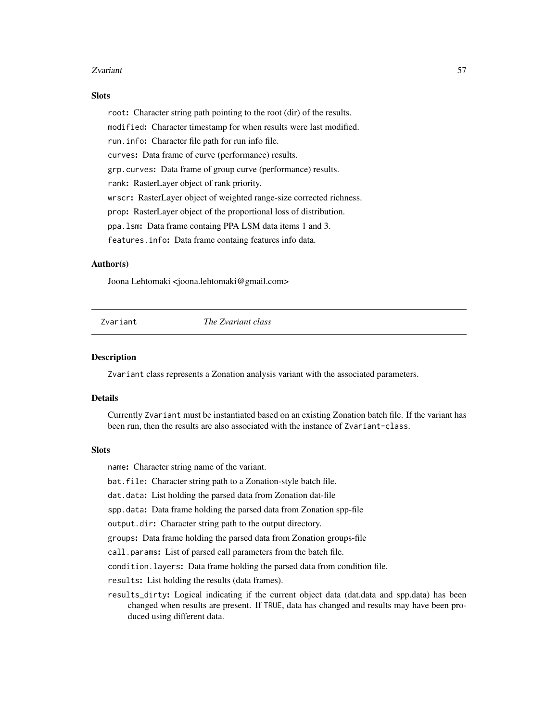#### <span id="page-56-0"></span>zvariant 57

#### **Slots**

root: Character string path pointing to the root (dir) of the results. modified: Character timestamp for when results were last modified. run.info: Character file path for run info file. curves: Data frame of curve (performance) results. grp.curves: Data frame of group curve (performance) results. rank: RasterLayer object of rank priority. wrscr: RasterLayer object of weighted range-size corrected richness. prop: RasterLayer object of the proportional loss of distribution. ppa.lsm: Data frame containg PPA LSM data items 1 and 3. features.info: Data frame containg features info data.

#### Author(s)

Joona Lehtomaki <joona.lehtomaki@gmail.com>

<span id="page-56-2"></span>Zvariant *The Zvariant class*

#### <span id="page-56-1"></span>**Description**

Zvariant class represents a Zonation analysis variant with the associated parameters.

#### Details

Currently Zvariant must be instantiated based on an existing Zonation batch file. If the variant has been run, then the results are also associated with the instance of Zvariant-class.

#### **Slots**

name: Character string name of the variant.

bat.file: Character string path to a Zonation-style batch file.

dat.data: List holding the parsed data from Zonation dat-file

spp.data: Data frame holding the parsed data from Zonation spp-file

output.dir: Character string path to the output directory.

groups: Data frame holding the parsed data from Zonation groups-file

call.params: List of parsed call parameters from the batch file.

condition.layers: Data frame holding the parsed data from condition file.

results: List holding the results (data frames).

results\_dirty: Logical indicating if the current object data (dat.data and spp.data) has been changed when results are present. If TRUE, data has changed and results may have been produced using different data.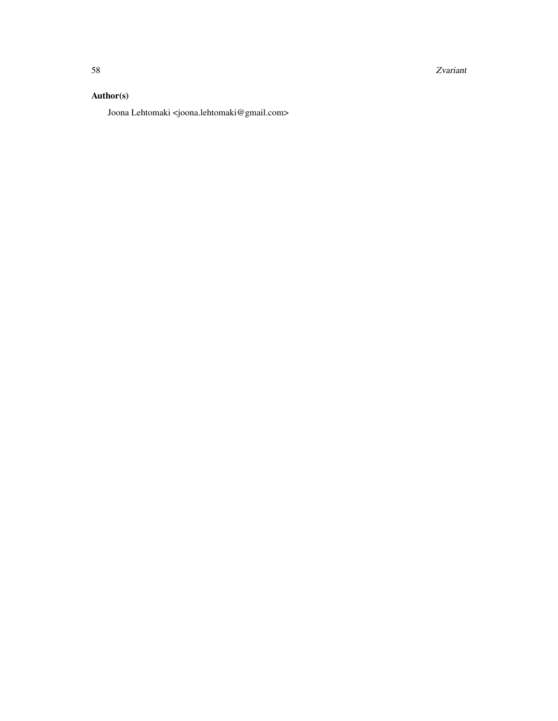58 Zvariant 2007 and 2008 and 2008 and 2008 and 2008 and 2008 and 2008 and 2008 and 2008 and 2008 and 2008 and 2008 and 2008 and 2008 and 2008 and 2008 and 2008 and 2008 and 2008 and 2008 and 2008 and 2008 and 2008 and 200

# Author(s)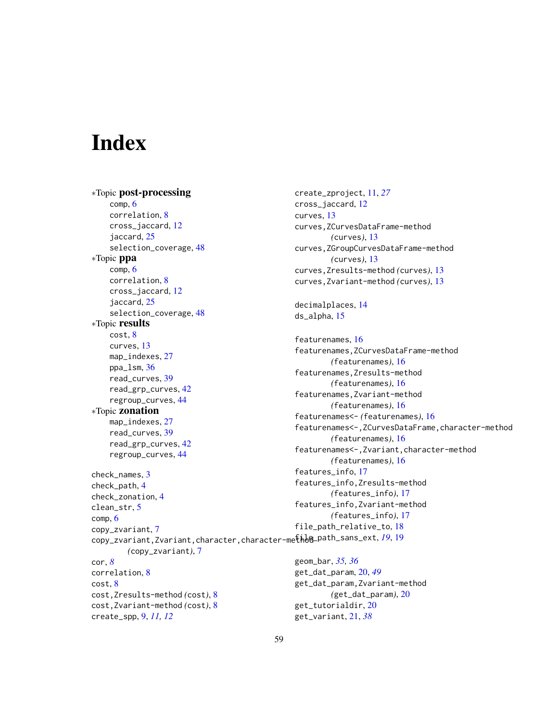# <span id="page-58-0"></span>**Index**

∗Topic post-processing comp, [6](#page-5-0) correlation, [8](#page-7-0) cross\_jaccard, [12](#page-11-0) jaccard, [25](#page-24-0) selection\_coverage, [48](#page-47-0) ∗Topic ppa comp, [6](#page-5-0) correlation, [8](#page-7-0) cross\_jaccard, [12](#page-11-0) jaccard, [25](#page-24-0) selection\_coverage, [48](#page-47-0) ∗Topic results cost, [8](#page-7-0) curves, [13](#page-12-0) map\_indexes, [27](#page-26-0) ppa\_lsm, [36](#page-35-0) read\_curves, [39](#page-38-0) read\_grp\_curves, [42](#page-41-0) regroup\_curves, [44](#page-43-0) ∗Topic zonation map\_indexes, [27](#page-26-0) read\_curves, [39](#page-38-0) read\_grp\_curves, [42](#page-41-0) regroup\_curves, [44](#page-43-0) check\_names, [3](#page-2-0) check\_path, [4](#page-3-0) check\_zonation, [4](#page-3-0) clean\_str, [5](#page-4-0) comp, [6](#page-5-0) copy\_zvariant, [7](#page-6-0) copy\_zvariant,Zvariant,character,character-metho@\_path\_sans\_ext, [19](#page-18-0),19 *(*copy\_zvariant*)*, [7](#page-6-0) cor, *[8](#page-7-0)* correlation, [8](#page-7-0) cost, [8](#page-7-0) cost,Zresults-method *(*cost*)*, [8](#page-7-0) cost,Zvariant-method *(*cost*)*, [8](#page-7-0) create\_spp, [9,](#page-8-0) *[11,](#page-10-0) [12](#page-11-0)* create\_zproject, [11,](#page-10-0) *[27](#page-26-0)* cross\_jaccard, [12](#page-11-0) curves, [13](#page-12-0) decimalplaces, [14](#page-13-0) ds\_alpha, [15](#page-14-0) featurenames, [16](#page-15-0) features\_info, [17](#page-16-0) file\_path\_relative\_to, [18](#page-17-0) geom\_bar, *[35,](#page-34-0) [36](#page-35-0)*

curves,ZCurvesDataFrame-method *(*curves*)*, [13](#page-12-0) curves,ZGroupCurvesDataFrame-method *(*curves*)*, [13](#page-12-0) curves,Zresults-method *(*curves*)*, [13](#page-12-0) curves,Zvariant-method *(*curves*)*, [13](#page-12-0) featurenames,ZCurvesDataFrame-method *(*featurenames*)*, [16](#page-15-0) featurenames,Zresults-method *(*featurenames*)*, [16](#page-15-0) featurenames,Zvariant-method *(*featurenames*)*, [16](#page-15-0) featurenames<- *(*featurenames*)*, [16](#page-15-0) featurenames<-,ZCurvesDataFrame,character-method *(*featurenames*)*, [16](#page-15-0) featurenames<-,Zvariant,character-method *(*featurenames*)*, [16](#page-15-0) features\_info,Zresults-method *(*features\_info*)*, [17](#page-16-0) features\_info,Zvariant-method *(*features\_info*)*, [17](#page-16-0)

get\_dat\_param, [20,](#page-19-0) *[49](#page-48-0)* get\_dat\_param,Zvariant-method *(*get\_dat\_param*)*, [20](#page-19-0) get\_tutorialdir, [20](#page-19-0) get\_variant, [21,](#page-20-0) *[38](#page-37-0)*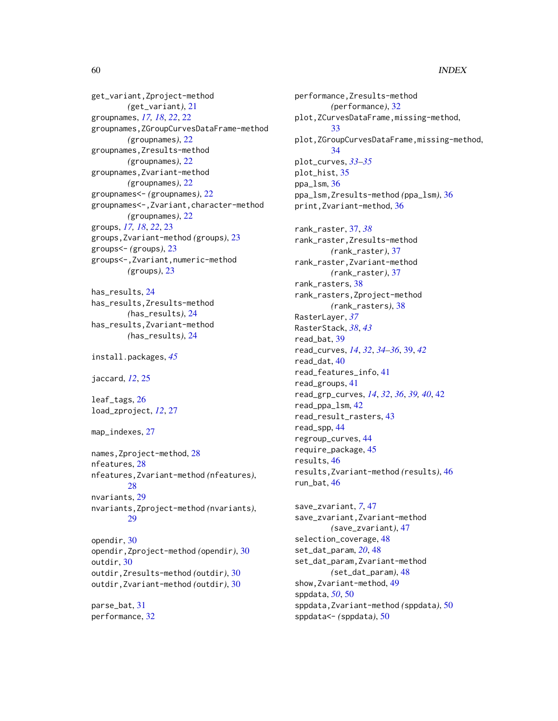# 60 INDEX

get\_variant,Zproject-method *(*get\_variant*)*, [21](#page-20-0) groupnames, *[17,](#page-16-0) [18](#page-17-0)*, *[22](#page-21-0)*, [22](#page-21-0) groupnames,ZGroupCurvesDataFrame-method *(*groupnames*)*, [22](#page-21-0) groupnames,Zresults-method *(*groupnames*)*, [22](#page-21-0) groupnames,Zvariant-method *(*groupnames*)*, [22](#page-21-0) groupnames<- *(*groupnames*)*, [22](#page-21-0) groupnames<-,Zvariant,character-method *(*groupnames*)*, [22](#page-21-0) groups, *[17,](#page-16-0) [18](#page-17-0)*, *[22](#page-21-0)*, [23](#page-22-0) groups,Zvariant-method *(*groups*)*, [23](#page-22-0) groups<- *(*groups*)*, [23](#page-22-0) groups<-,Zvariant,numeric-method *(*groups*)*, [23](#page-22-0)

has\_results, [24](#page-23-0) has\_results,Zresults-method *(*has\_results*)*, [24](#page-23-0) has\_results,Zvariant-method *(*has\_results*)*, [24](#page-23-0)

```
install.packages, 45
```
jaccard, *[12](#page-11-0)*, [25](#page-24-0)

leaf\_tags, [26](#page-25-0) load\_zproject, *[12](#page-11-0)*, [27](#page-26-0)

```
map_indexes, 27
```
names,Zproject-method, [28](#page-27-0) nfeatures, [28](#page-27-0) nfeatures,Zvariant-method *(*nfeatures*)*, [28](#page-27-0) nvariants, [29](#page-28-0) nvariants,Zproject-method *(*nvariants*)*, [29](#page-28-0) opendir, [30](#page-29-0) opendir,Zproject-method *(*opendir*)*, [30](#page-29-0) outdir, [30](#page-29-0) outdir,Zresults-method *(*outdir*)*, [30](#page-29-0) outdir,Zvariant-method *(*outdir*)*, [30](#page-29-0)

parse\_bat, [31](#page-30-0) performance, [32](#page-31-0) performance,Zresults-method *(*performance*)*, [32](#page-31-0) plot,ZCurvesDataFrame,missing-method, [33](#page-32-0) plot,ZGroupCurvesDataFrame,missing-method, [34](#page-33-0) plot\_curves, *[33](#page-32-0)[–35](#page-34-0)* plot\_hist, [35](#page-34-0) ppa\_lsm, [36](#page-35-0) ppa\_lsm,Zresults-method *(*ppa\_lsm*)*, [36](#page-35-0) print,Zvariant-method, [36](#page-35-0) rank\_raster, [37,](#page-36-0) *[38](#page-37-0)* rank\_raster,Zresults-method *(*rank\_raster*)*, [37](#page-36-0) rank\_raster,Zvariant-method *(*rank\_raster*)*, [37](#page-36-0) rank\_rasters, [38](#page-37-0) rank\_rasters,Zproject-method *(*rank\_rasters*)*, [38](#page-37-0) RasterLayer, *[37](#page-36-0)* RasterStack, *[38](#page-37-0)*, *[43](#page-42-0)* read\_bat, [39](#page-38-0) read\_curves, *[14](#page-13-0)*, *[32](#page-31-0)*, *[34](#page-33-0)[–36](#page-35-0)*, [39,](#page-38-0) *[42](#page-41-0)* read\_dat, [40](#page-39-0) read\_features\_info, [41](#page-40-0) read\_groups, [41](#page-40-0) read\_grp\_curves, *[14](#page-13-0)*, *[32](#page-31-0)*, *[36](#page-35-0)*, *[39,](#page-38-0) [40](#page-39-0)*, [42](#page-41-0) read\_ppa\_lsm, [42](#page-41-0) read\_result\_rasters, [43](#page-42-0) read\_spp, [44](#page-43-0) regroup\_curves, [44](#page-43-0) require\_package, [45](#page-44-0) results, [46](#page-45-0) results,Zvariant-method *(*results*)*, [46](#page-45-0) run\_bat, [46](#page-45-0) save\_zvariant, *[7](#page-6-0)*, [47](#page-46-0)

save\_zvariant,Zvariant-method *(*save\_zvariant*)*, [47](#page-46-0) selection\_coverage, [48](#page-47-0) set\_dat\_param, *[20](#page-19-0)*, [48](#page-47-0) set\_dat\_param,Zvariant-method *(*set\_dat\_param*)*, [48](#page-47-0) show,Zvariant-method, [49](#page-48-0) sppdata, *[50](#page-49-0)*, [50](#page-49-0) sppdata,Zvariant-method *(*sppdata*)*, [50](#page-49-0) sppdata<- *(*sppdata*)*, [50](#page-49-0)